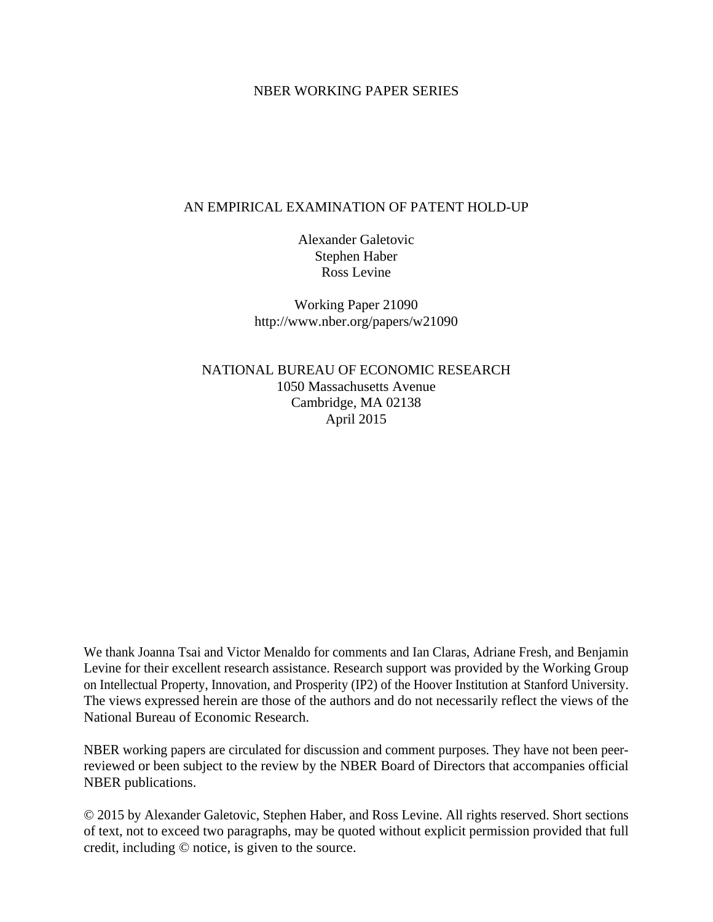# NBER WORKING PAPER SERIES

# AN EMPIRICAL EXAMINATION OF PATENT HOLD-UP

Alexander Galetovic Stephen Haber Ross Levine

Working Paper 21090 http://www.nber.org/papers/w21090

NATIONAL BUREAU OF ECONOMIC RESEARCH 1050 Massachusetts Avenue Cambridge, MA 02138 April 2015

We thank Joanna Tsai and Victor Menaldo for comments and Ian Claras, Adriane Fresh, and Benjamin Levine for their excellent research assistance. Research support was provided by the Working Group on Intellectual Property, Innovation, and Prosperity (IP2) of the Hoover Institution at Stanford University. The views expressed herein are those of the authors and do not necessarily reflect the views of the National Bureau of Economic Research.

NBER working papers are circulated for discussion and comment purposes. They have not been peerreviewed or been subject to the review by the NBER Board of Directors that accompanies official NBER publications.

© 2015 by Alexander Galetovic, Stephen Haber, and Ross Levine. All rights reserved. Short sections of text, not to exceed two paragraphs, may be quoted without explicit permission provided that full credit, including © notice, is given to the source.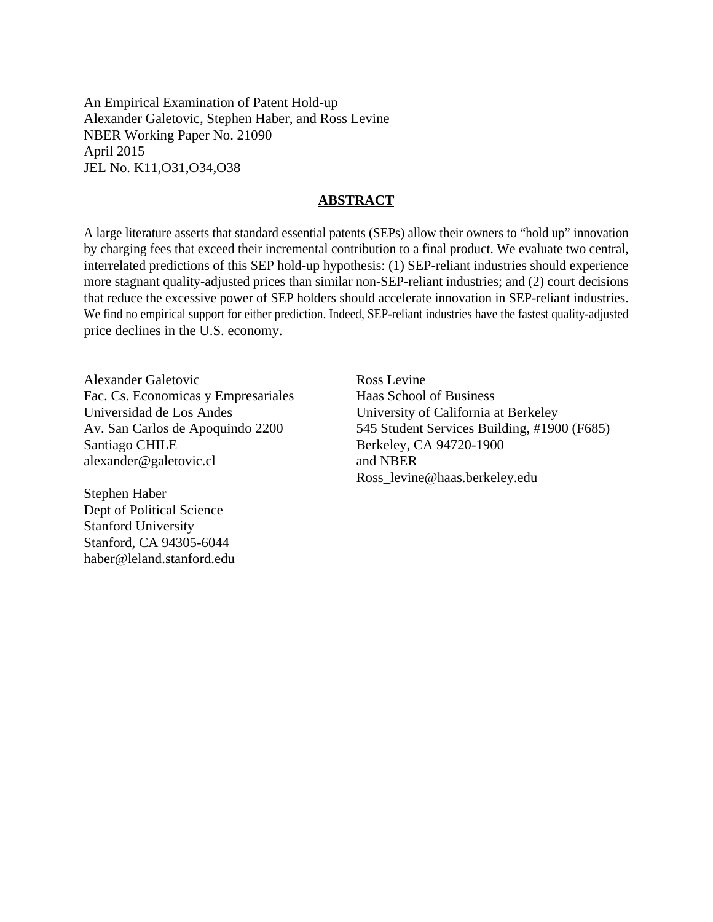An Empirical Examination of Patent Hold-up Alexander Galetovic, Stephen Haber, and Ross Levine NBER Working Paper No. 21090 April 2015 JEL No. K11,O31,O34,O38

## **ABSTRACT**

A large literature asserts that standard essential patents (SEPs) allow their owners to "hold up" innovation by charging fees that exceed their incremental contribution to a final product. We evaluate two central, interrelated predictions of this SEP hold-up hypothesis: (1) SEP-reliant industries should experience more stagnant quality-adjusted prices than similar non-SEP-reliant industries; and (2) court decisions that reduce the excessive power of SEP holders should accelerate innovation in SEP-reliant industries. We find no empirical support for either prediction. Indeed, SEP-reliant industries have the fastest quality-adjusted price declines in the U.S. economy.

Alexander Galetovic Fac. Cs. Economicas y Empresariales Universidad de Los Andes Av. San Carlos de Apoquindo 2200 Santiago CHILE alexander@galetovic.cl

Stephen Haber Dept of Political Science Stanford University Stanford, CA 94305-6044 haber@leland.stanford.edu Ross Levine Haas School of Business University of California at Berkeley 545 Student Services Building, #1900 (F685) Berkeley, CA 94720-1900 and NBER Ross\_levine@haas.berkeley.edu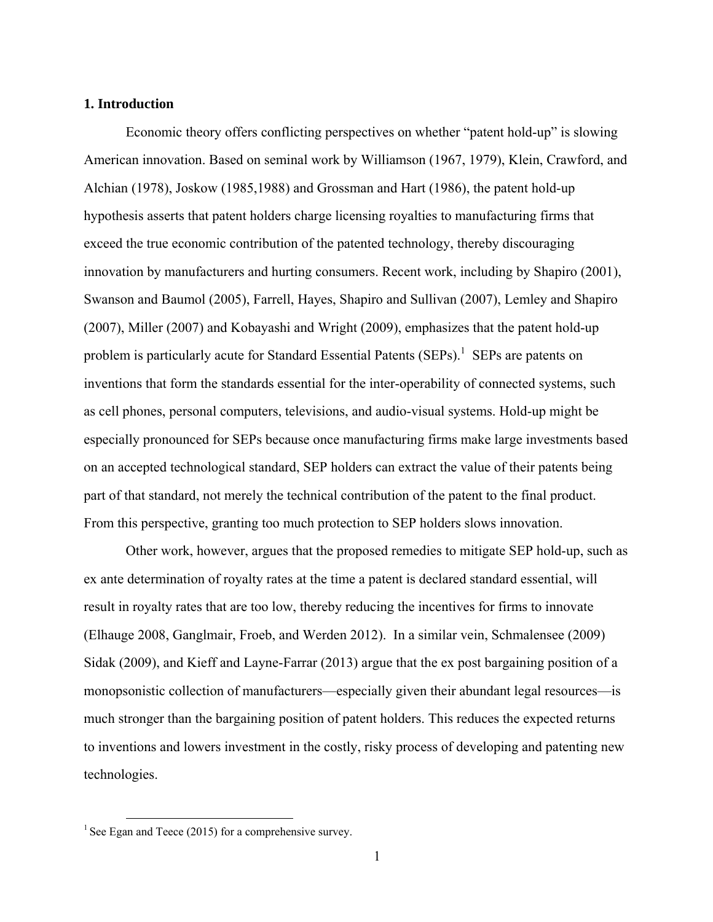#### **1. Introduction**

Economic theory offers conflicting perspectives on whether "patent hold-up" is slowing American innovation. Based on seminal work by Williamson (1967, 1979), Klein, Crawford, and Alchian (1978), Joskow (1985,1988) and Grossman and Hart (1986), the patent hold-up hypothesis asserts that patent holders charge licensing royalties to manufacturing firms that exceed the true economic contribution of the patented technology, thereby discouraging innovation by manufacturers and hurting consumers. Recent work, including by Shapiro (2001), Swanson and Baumol (2005), Farrell, Hayes, Shapiro and Sullivan (2007), Lemley and Shapiro (2007), Miller (2007) and Kobayashi and Wright (2009), emphasizes that the patent hold-up problem is particularly acute for Standard Essential Patents (SEPs).<sup>1</sup> SEPs are patents on inventions that form the standards essential for the inter-operability of connected systems, such as cell phones, personal computers, televisions, and audio-visual systems. Hold-up might be especially pronounced for SEPs because once manufacturing firms make large investments based on an accepted technological standard, SEP holders can extract the value of their patents being part of that standard, not merely the technical contribution of the patent to the final product. From this perspective, granting too much protection to SEP holders slows innovation.

Other work, however, argues that the proposed remedies to mitigate SEP hold-up, such as ex ante determination of royalty rates at the time a patent is declared standard essential, will result in royalty rates that are too low, thereby reducing the incentives for firms to innovate (Elhauge 2008, Ganglmair, Froeb, and Werden 2012). In a similar vein, Schmalensee (2009) Sidak (2009), and Kieff and Layne-Farrar (2013) argue that the ex post bargaining position of a monopsonistic collection of manufacturers—especially given their abundant legal resources—is much stronger than the bargaining position of patent holders. This reduces the expected returns to inventions and lowers investment in the costly, risky process of developing and patenting new technologies.

<sup>&</sup>lt;sup>1</sup> See Egan and Teece (2015) for a comprehensive survey.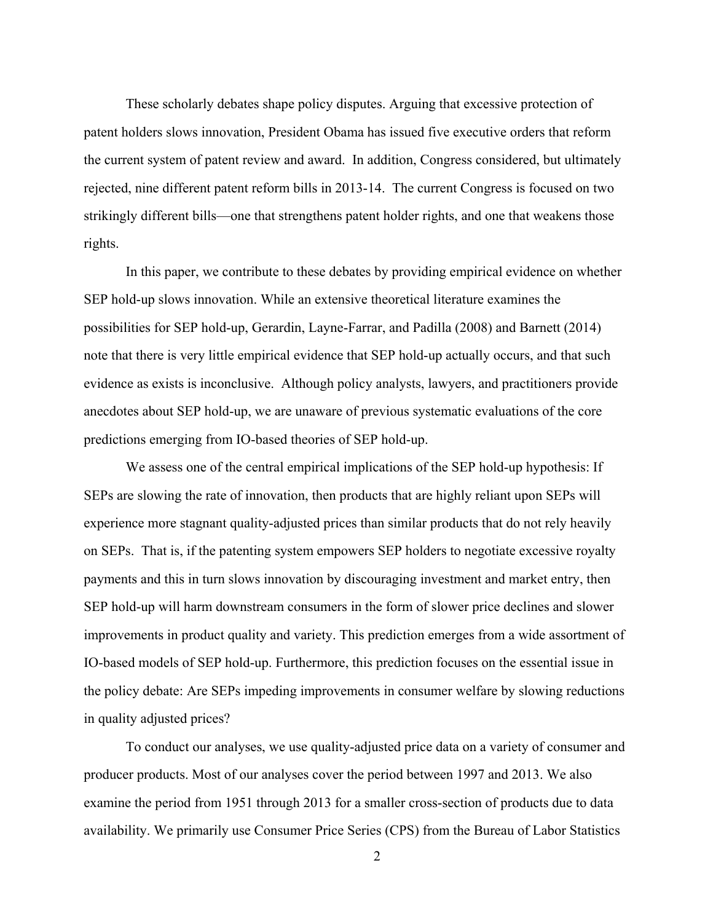These scholarly debates shape policy disputes. Arguing that excessive protection of patent holders slows innovation, President Obama has issued five executive orders that reform the current system of patent review and award. In addition, Congress considered, but ultimately rejected, nine different patent reform bills in 2013-14. The current Congress is focused on two strikingly different bills—one that strengthens patent holder rights, and one that weakens those rights.

In this paper, we contribute to these debates by providing empirical evidence on whether SEP hold-up slows innovation. While an extensive theoretical literature examines the possibilities for SEP hold-up, Gerardin, Layne-Farrar, and Padilla (2008) and Barnett (2014) note that there is very little empirical evidence that SEP hold-up actually occurs, and that such evidence as exists is inconclusive. Although policy analysts, lawyers, and practitioners provide anecdotes about SEP hold-up, we are unaware of previous systematic evaluations of the core predictions emerging from IO-based theories of SEP hold-up.

We assess one of the central empirical implications of the SEP hold-up hypothesis: If SEPs are slowing the rate of innovation, then products that are highly reliant upon SEPs will experience more stagnant quality-adjusted prices than similar products that do not rely heavily on SEPs. That is, if the patenting system empowers SEP holders to negotiate excessive royalty payments and this in turn slows innovation by discouraging investment and market entry, then SEP hold-up will harm downstream consumers in the form of slower price declines and slower improvements in product quality and variety. This prediction emerges from a wide assortment of IO-based models of SEP hold-up. Furthermore, this prediction focuses on the essential issue in the policy debate: Are SEPs impeding improvements in consumer welfare by slowing reductions in quality adjusted prices?

To conduct our analyses, we use quality-adjusted price data on a variety of consumer and producer products. Most of our analyses cover the period between 1997 and 2013. We also examine the period from 1951 through 2013 for a smaller cross-section of products due to data availability. We primarily use Consumer Price Series (CPS) from the Bureau of Labor Statistics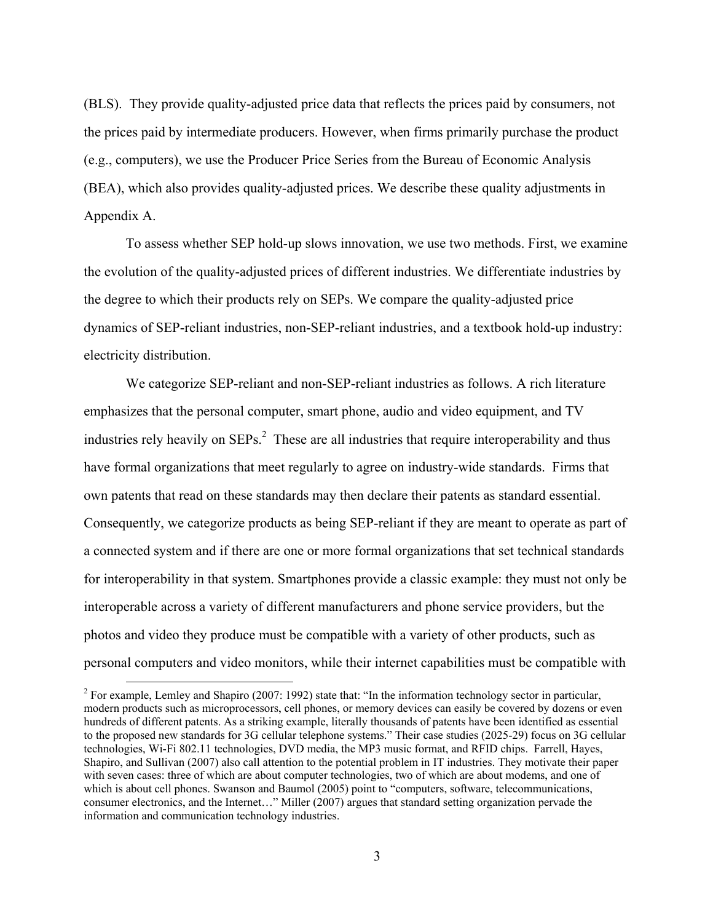(BLS). They provide quality-adjusted price data that reflects the prices paid by consumers, not the prices paid by intermediate producers. However, when firms primarily purchase the product (e.g., computers), we use the Producer Price Series from the Bureau of Economic Analysis (BEA), which also provides quality-adjusted prices. We describe these quality adjustments in Appendix A.

To assess whether SEP hold-up slows innovation, we use two methods. First, we examine the evolution of the quality-adjusted prices of different industries. We differentiate industries by the degree to which their products rely on SEPs. We compare the quality-adjusted price dynamics of SEP-reliant industries, non-SEP-reliant industries, and a textbook hold-up industry: electricity distribution.

We categorize SEP-reliant and non-SEP-reliant industries as follows. A rich literature emphasizes that the personal computer, smart phone, audio and video equipment, and TV industries rely heavily on  $SEPs<sup>2</sup>$ . These are all industries that require interoperability and thus have formal organizations that meet regularly to agree on industry-wide standards. Firms that own patents that read on these standards may then declare their patents as standard essential. Consequently, we categorize products as being SEP-reliant if they are meant to operate as part of a connected system and if there are one or more formal organizations that set technical standards for interoperability in that system. Smartphones provide a classic example: they must not only be interoperable across a variety of different manufacturers and phone service providers, but the photos and video they produce must be compatible with a variety of other products, such as personal computers and video monitors, while their internet capabilities must be compatible with

<sup>&</sup>lt;sup>2</sup> For example, Lemley and Shapiro (2007: 1992) state that: "In the information technology sector in particular, modern products such as microprocessors, cell phones, or memory devices can easily be covered by dozens or even hundreds of different patents. As a striking example, literally thousands of patents have been identified as essential to the proposed new standards for 3G cellular telephone systems." Their case studies (2025-29) focus on 3G cellular technologies, Wi-Fi 802.11 technologies, DVD media, the MP3 music format, and RFID chips. Farrell, Hayes, Shapiro, and Sullivan (2007) also call attention to the potential problem in IT industries. They motivate their paper with seven cases: three of which are about computer technologies, two of which are about modems, and one of which is about cell phones. Swanson and Baumol (2005) point to "computers, software, telecommunications, consumer electronics, and the Internet…" Miller (2007) argues that standard setting organization pervade the information and communication technology industries.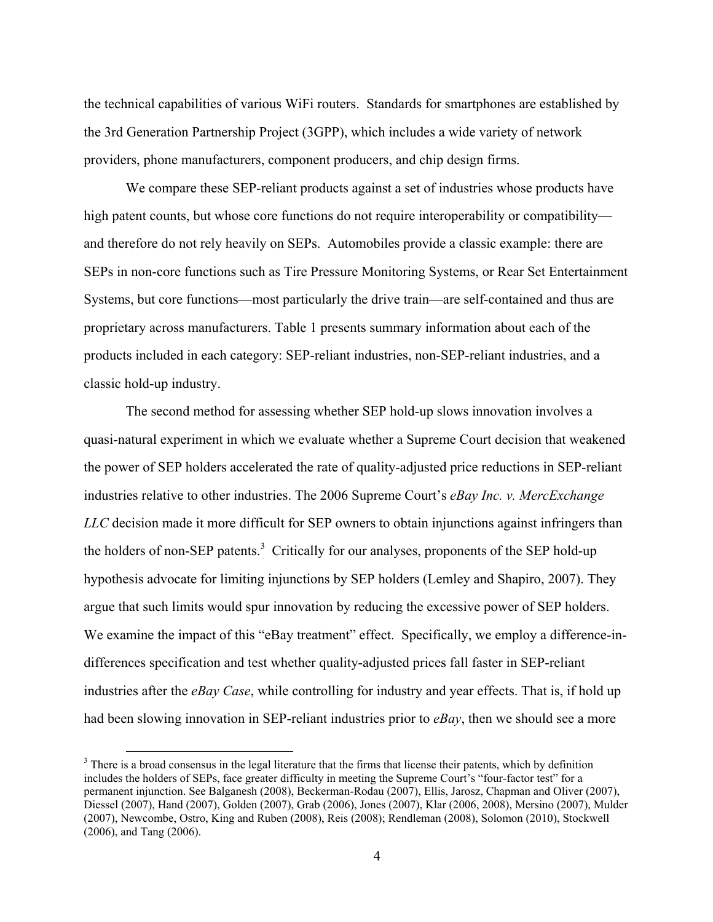the technical capabilities of various WiFi routers. Standards for smartphones are established by the 3rd Generation Partnership Project (3GPP), which includes a wide variety of network providers, phone manufacturers, component producers, and chip design firms.

We compare these SEP-reliant products against a set of industries whose products have high patent counts, but whose core functions do not require interoperability or compatibility and therefore do not rely heavily on SEPs. Automobiles provide a classic example: there are SEPs in non-core functions such as Tire Pressure Monitoring Systems, or Rear Set Entertainment Systems, but core functions—most particularly the drive train—are self-contained and thus are proprietary across manufacturers. Table 1 presents summary information about each of the products included in each category: SEP-reliant industries, non-SEP-reliant industries, and a classic hold-up industry.

The second method for assessing whether SEP hold-up slows innovation involves a quasi-natural experiment in which we evaluate whether a Supreme Court decision that weakened the power of SEP holders accelerated the rate of quality-adjusted price reductions in SEP-reliant industries relative to other industries. The 2006 Supreme Court's *eBay Inc. v. MercExchange LLC* decision made it more difficult for SEP owners to obtain injunctions against infringers than the holders of non-SEP patents.<sup>3</sup> Critically for our analyses, proponents of the SEP hold-up hypothesis advocate for limiting injunctions by SEP holders (Lemley and Shapiro, 2007). They argue that such limits would spur innovation by reducing the excessive power of SEP holders. We examine the impact of this "eBay treatment" effect. Specifically, we employ a difference-indifferences specification and test whether quality-adjusted prices fall faster in SEP-reliant industries after the *eBay Case*, while controlling for industry and year effects. That is, if hold up had been slowing innovation in SEP-reliant industries prior to *eBay*, then we should see a more

<sup>&</sup>lt;sup>3</sup> There is a broad consensus in the legal literature that the firms that license their patents, which by definition includes the holders of SEPs, face greater difficulty in meeting the Supreme Court's "four-factor test" for a permanent injunction. See Balganesh (2008), Beckerman-Rodau (2007), Ellis, Jarosz, Chapman and Oliver (2007), Diessel (2007), Hand (2007), Golden (2007), Grab (2006), Jones (2007), Klar (2006, 2008), Mersino (2007), Mulder (2007), Newcombe, Ostro, King and Ruben (2008), Reis (2008); Rendleman (2008), Solomon (2010), Stockwell (2006), and Tang (2006).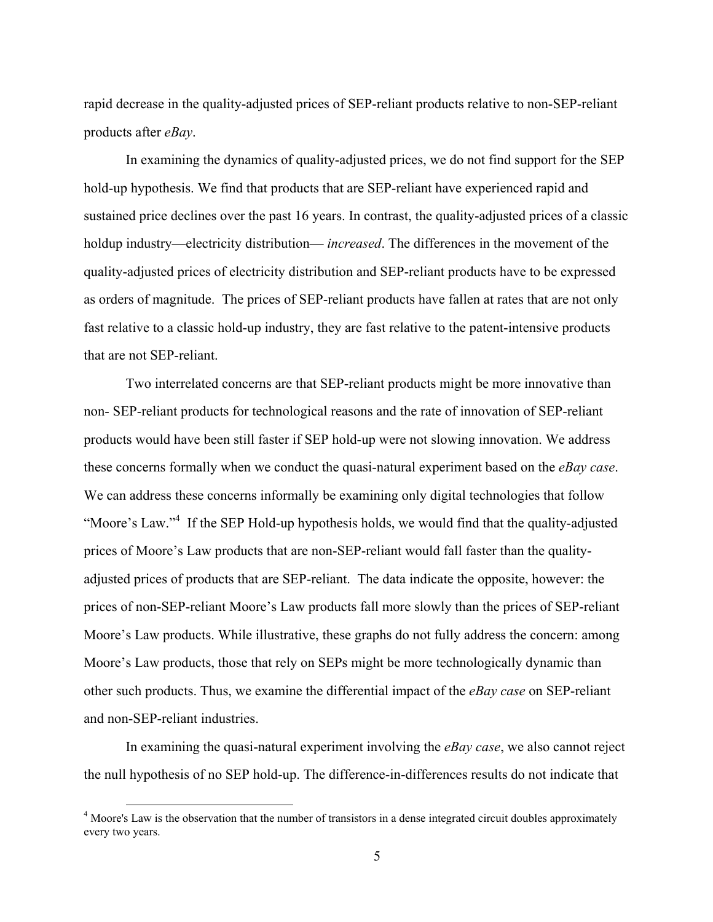rapid decrease in the quality-adjusted prices of SEP-reliant products relative to non-SEP-reliant products after *eBay*.

In examining the dynamics of quality-adjusted prices, we do not find support for the SEP hold-up hypothesis. We find that products that are SEP-reliant have experienced rapid and sustained price declines over the past 16 years. In contrast, the quality-adjusted prices of a classic holdup industry—electricity distribution— *increased*. The differences in the movement of the quality-adjusted prices of electricity distribution and SEP-reliant products have to be expressed as orders of magnitude. The prices of SEP-reliant products have fallen at rates that are not only fast relative to a classic hold-up industry, they are fast relative to the patent-intensive products that are not SEP-reliant.

Two interrelated concerns are that SEP-reliant products might be more innovative than non- SEP-reliant products for technological reasons and the rate of innovation of SEP-reliant products would have been still faster if SEP hold-up were not slowing innovation. We address these concerns formally when we conduct the quasi-natural experiment based on the *eBay case*. We can address these concerns informally be examining only digital technologies that follow "Moore's Law."<sup>4</sup> If the SEP Hold-up hypothesis holds, we would find that the quality-adjusted prices of Moore's Law products that are non-SEP-reliant would fall faster than the qualityadjusted prices of products that are SEP-reliant. The data indicate the opposite, however: the prices of non-SEP-reliant Moore's Law products fall more slowly than the prices of SEP-reliant Moore's Law products. While illustrative, these graphs do not fully address the concern: among Moore's Law products, those that rely on SEPs might be more technologically dynamic than other such products. Thus, we examine the differential impact of the *eBay case* on SEP-reliant and non-SEP-reliant industries.

In examining the quasi-natural experiment involving the *eBay case*, we also cannot reject the null hypothesis of no SEP hold-up. The difference-in-differences results do not indicate that

<sup>&</sup>lt;sup>4</sup> Moore's Law is the observation that the number of transistors in a dense integrated circuit doubles approximately every two years.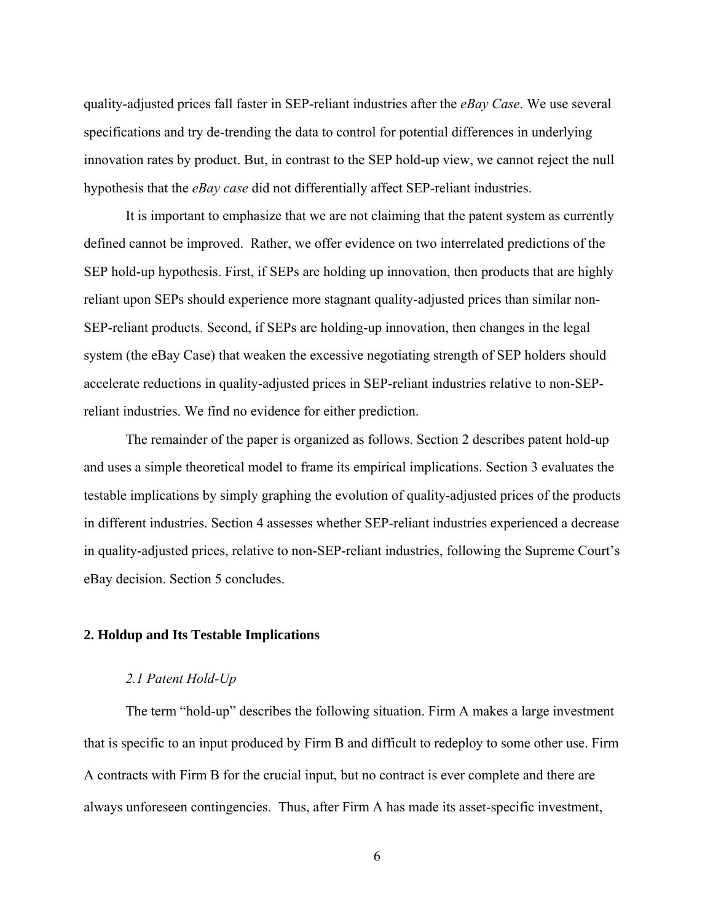quality-adjusted prices fall faster in SEP-reliant industries after the *eBay Case*. We use several specifications and try de-trending the data to control for potential differences in underlying innovation rates by product. But, in contrast to the SEP hold-up view, we cannot reject the null hypothesis that the *eBay case* did not differentially affect SEP-reliant industries.

It is important to emphasize that we are not claiming that the patent system as currently defined cannot be improved. Rather, we offer evidence on two interrelated predictions of the SEP hold-up hypothesis. First, if SEPs are holding up innovation, then products that are highly reliant upon SEPs should experience more stagnant quality-adjusted prices than similar non-SEP-reliant products. Second, if SEPs are holding-up innovation, then changes in the legal system (the eBay Case) that weaken the excessive negotiating strength of SEP holders should accelerate reductions in quality-adjusted prices in SEP-reliant industries relative to non-SEPreliant industries. We find no evidence for either prediction.

The remainder of the paper is organized as follows. Section 2 describes patent hold-up and uses a simple theoretical model to frame its empirical implications. Section 3 evaluates the testable implications by simply graphing the evolution of quality-adjusted prices of the products in different industries. Section 4 assesses whether SEP-reliant industries experienced a decrease in quality-adjusted prices, relative to non-SEP-reliant industries, following the Supreme Court's eBay decision. Section 5 concludes.

# **2. Holdup and Its Testable Implications**

#### *2.1 Patent Hold-Up*

The term "hold-up" describes the following situation. Firm A makes a large investment that is specific to an input produced by Firm B and difficult to redeploy to some other use. Firm A contracts with Firm B for the crucial input, but no contract is ever complete and there are always unforeseen contingencies. Thus, after Firm A has made its asset-specific investment,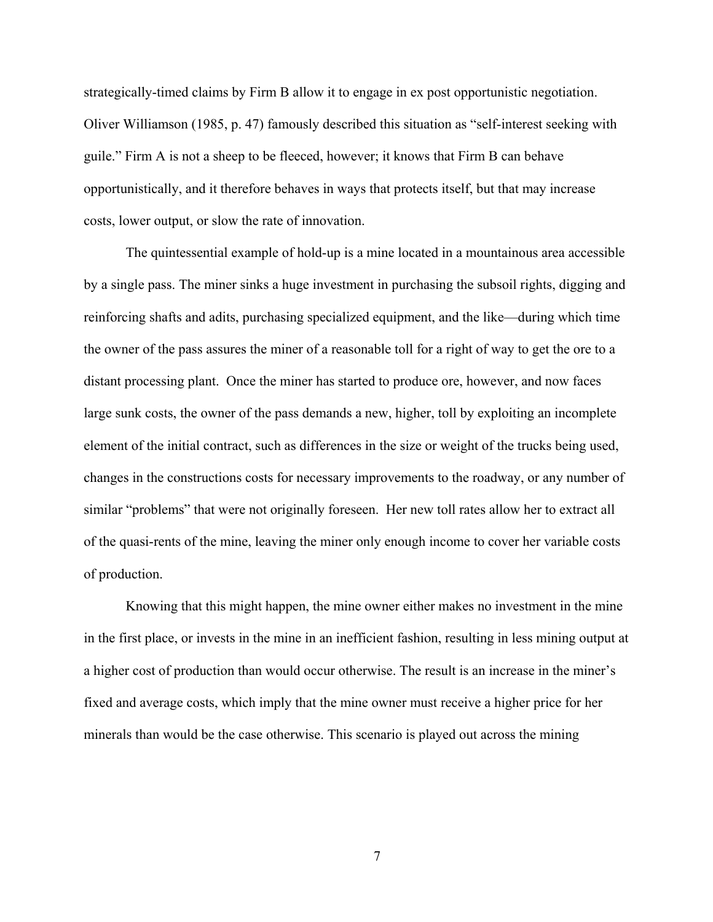strategically-timed claims by Firm B allow it to engage in ex post opportunistic negotiation. Oliver Williamson (1985, p. 47) famously described this situation as "self-interest seeking with guile." Firm A is not a sheep to be fleeced, however; it knows that Firm B can behave opportunistically, and it therefore behaves in ways that protects itself, but that may increase costs, lower output, or slow the rate of innovation.

The quintessential example of hold-up is a mine located in a mountainous area accessible by a single pass. The miner sinks a huge investment in purchasing the subsoil rights, digging and reinforcing shafts and adits, purchasing specialized equipment, and the like—during which time the owner of the pass assures the miner of a reasonable toll for a right of way to get the ore to a distant processing plant. Once the miner has started to produce ore, however, and now faces large sunk costs, the owner of the pass demands a new, higher, toll by exploiting an incomplete element of the initial contract, such as differences in the size or weight of the trucks being used, changes in the constructions costs for necessary improvements to the roadway, or any number of similar "problems" that were not originally foreseen. Her new toll rates allow her to extract all of the quasi-rents of the mine, leaving the miner only enough income to cover her variable costs of production.

Knowing that this might happen, the mine owner either makes no investment in the mine in the first place, or invests in the mine in an inefficient fashion, resulting in less mining output at a higher cost of production than would occur otherwise. The result is an increase in the miner's fixed and average costs, which imply that the mine owner must receive a higher price for her minerals than would be the case otherwise. This scenario is played out across the mining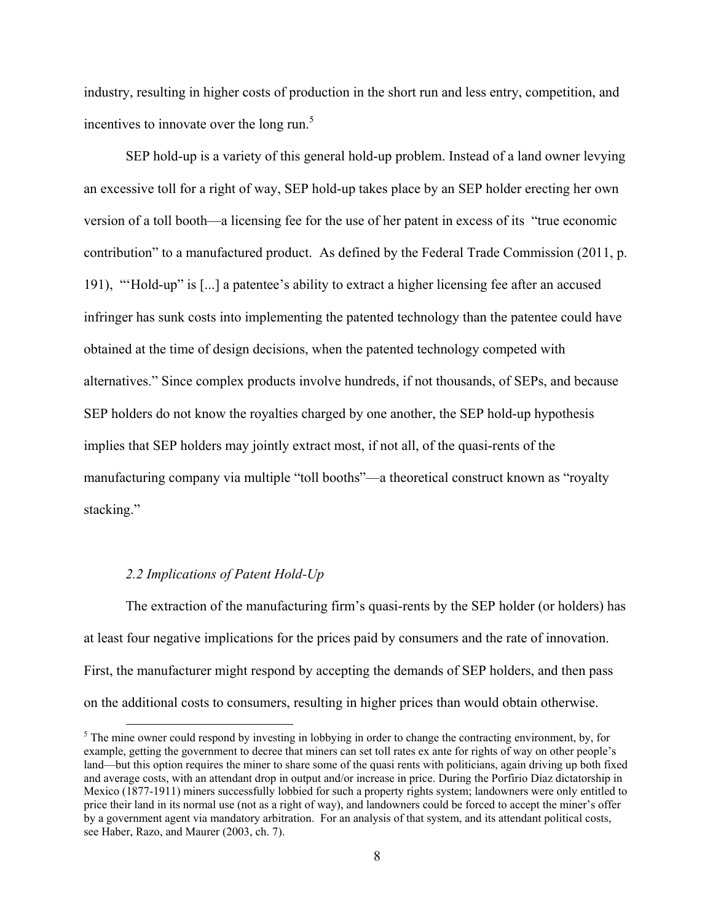industry, resulting in higher costs of production in the short run and less entry, competition, and incentives to innovate over the long run. $<sup>5</sup>$ </sup>

SEP hold-up is a variety of this general hold-up problem. Instead of a land owner levying an excessive toll for a right of way, SEP hold-up takes place by an SEP holder erecting her own version of a toll booth—a licensing fee for the use of her patent in excess of its "true economic contribution" to a manufactured product. As defined by the Federal Trade Commission (2011, p. 191), "'Hold-up" is [...] a patentee's ability to extract a higher licensing fee after an accused infringer has sunk costs into implementing the patented technology than the patentee could have obtained at the time of design decisions, when the patented technology competed with alternatives." Since complex products involve hundreds, if not thousands, of SEPs, and because SEP holders do not know the royalties charged by one another, the SEP hold-up hypothesis implies that SEP holders may jointly extract most, if not all, of the quasi-rents of the manufacturing company via multiple "toll booths"—a theoretical construct known as "royalty stacking."

# *2.2 Implications of Patent Hold-Up*

The extraction of the manufacturing firm's quasi-rents by the SEP holder (or holders) has at least four negative implications for the prices paid by consumers and the rate of innovation. First, the manufacturer might respond by accepting the demands of SEP holders, and then pass on the additional costs to consumers, resulting in higher prices than would obtain otherwise.

<sup>&</sup>lt;sup>5</sup> The mine owner could respond by investing in lobbying in order to change the contracting environment, by, for example, getting the government to decree that miners can set toll rates ex ante for rights of way on other people's land—but this option requires the miner to share some of the quasi rents with politicians, again driving up both fixed and average costs, with an attendant drop in output and/or increase in price. During the Porfirio Díaz dictatorship in Mexico (1877-1911) miners successfully lobbied for such a property rights system; landowners were only entitled to price their land in its normal use (not as a right of way), and landowners could be forced to accept the miner's offer by a government agent via mandatory arbitration. For an analysis of that system, and its attendant political costs, see Haber, Razo, and Maurer (2003, ch. 7).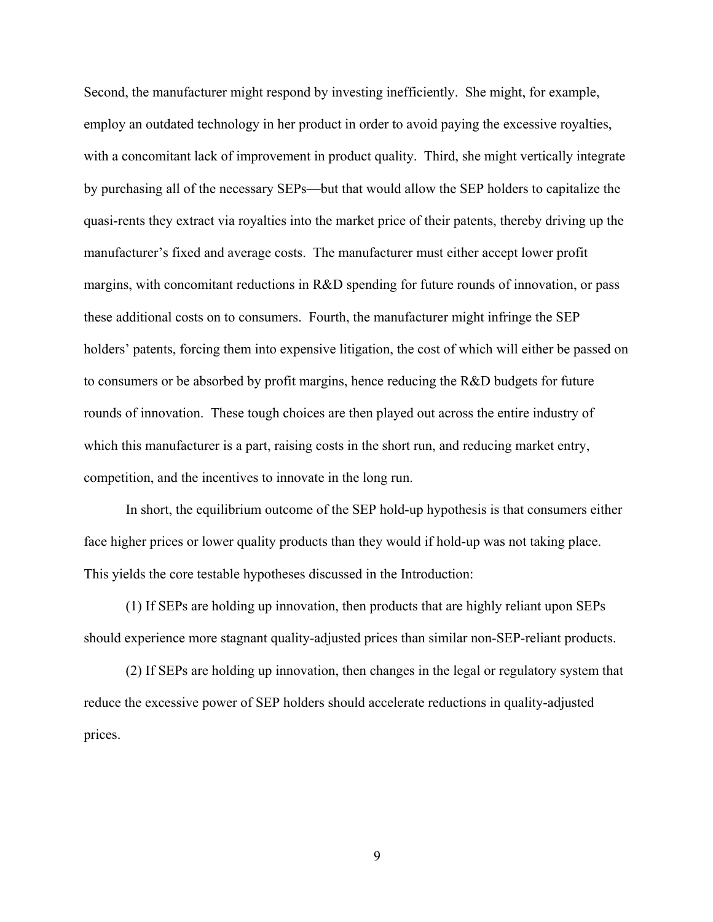Second, the manufacturer might respond by investing inefficiently. She might, for example, employ an outdated technology in her product in order to avoid paying the excessive royalties, with a concomitant lack of improvement in product quality. Third, she might vertically integrate by purchasing all of the necessary SEPs—but that would allow the SEP holders to capitalize the quasi-rents they extract via royalties into the market price of their patents, thereby driving up the manufacturer's fixed and average costs. The manufacturer must either accept lower profit margins, with concomitant reductions in R&D spending for future rounds of innovation, or pass these additional costs on to consumers. Fourth, the manufacturer might infringe the SEP holders' patents, forcing them into expensive litigation, the cost of which will either be passed on to consumers or be absorbed by profit margins, hence reducing the R&D budgets for future rounds of innovation. These tough choices are then played out across the entire industry of which this manufacturer is a part, raising costs in the short run, and reducing market entry, competition, and the incentives to innovate in the long run.

In short, the equilibrium outcome of the SEP hold-up hypothesis is that consumers either face higher prices or lower quality products than they would if hold-up was not taking place. This yields the core testable hypotheses discussed in the Introduction:

(1) If SEPs are holding up innovation, then products that are highly reliant upon SEPs should experience more stagnant quality-adjusted prices than similar non-SEP-reliant products.

(2) If SEPs are holding up innovation, then changes in the legal or regulatory system that reduce the excessive power of SEP holders should accelerate reductions in quality-adjusted prices.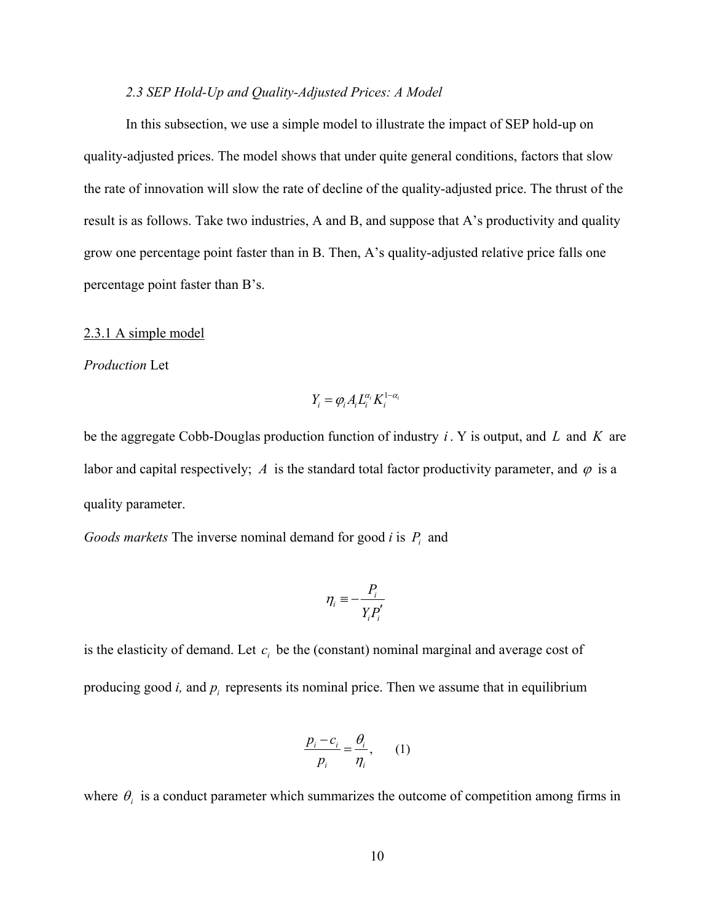#### *2.3 SEP Hold-Up and Quality-Adjusted Prices: A Model*

In this subsection, we use a simple model to illustrate the impact of SEP hold-up on quality-adjusted prices. The model shows that under quite general conditions, factors that slow the rate of innovation will slow the rate of decline of the quality-adjusted price. The thrust of the result is as follows. Take two industries, A and B, and suppose that A's productivity and quality grow one percentage point faster than in B. Then, A's quality-adjusted relative price falls one percentage point faster than B's.

#### 2.3.1 A simple model

#### *Production* Let

$$
Y_i = \varphi_i A_i L_i^{\alpha_i} K_i^{1-\alpha_i}
$$

be the aggregate Cobb-Douglas production function of industry *i* . Y is output, and *L* and *K* are labor and capital respectively; *A* is the standard total factor productivity parameter, and  $\varphi$  is a quality parameter.

*Goods markets* The inverse nominal demand for good *i* is  $P_i$  and

$$
\eta_i \equiv -\frac{P_i}{Y_i P_i'}
$$

is the elasticity of demand. Let  $c_i$  be the (constant) nominal marginal and average cost of producing good  $i$ , and  $p_i$  represents its nominal price. Then we assume that in equilibrium

$$
\frac{p_i - c_i}{p_i} = \frac{\theta_i}{\eta_i},\qquad(1)
$$

where  $\theta_i$  is a conduct parameter which summarizes the outcome of competition among firms in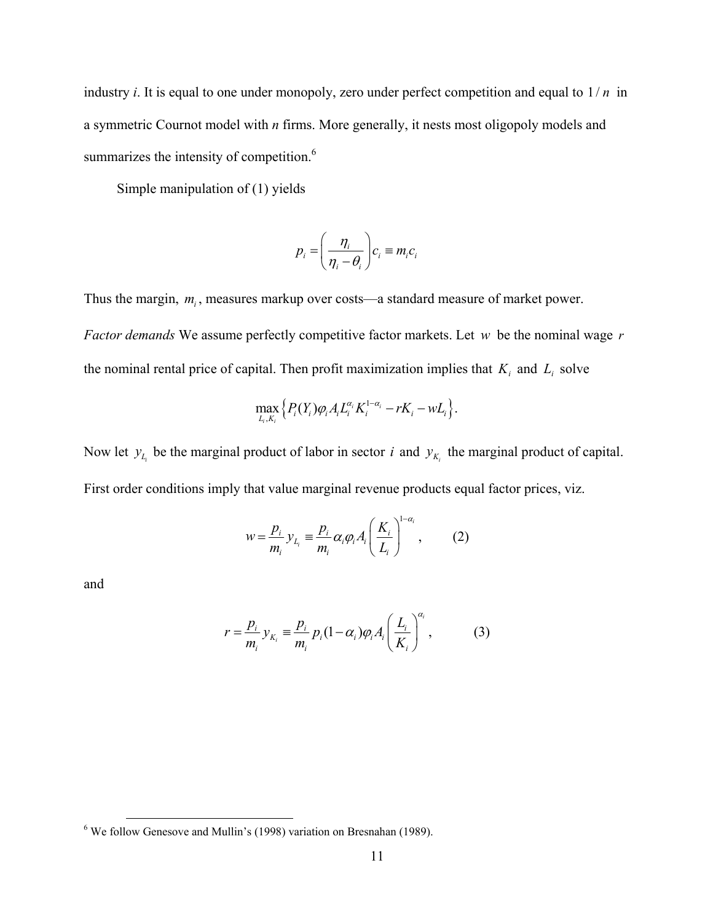industry *i*. It is equal to one under monopoly, zero under perfect competition and equal to 1/ *n* in a symmetric Cournot model with *n* firms. More generally, it nests most oligopoly models and summarizes the intensity of competition.<sup>6</sup>

Simple manipulation of (1) yields

$$
p_i = \left(\frac{\eta_i}{\eta_i - \theta_i}\right) c_i \equiv m_i c_i
$$

Thus the margin,  $m_i$ , measures markup over costs—a standard measure of market power. *Factor demands* We assume perfectly competitive factor markets. Let *w* be the nominal wage *r* the nominal rental price of capital. Then profit maximization implies that  $K_i$  and  $L_i$  solve

$$
\max_{L_i,K_i} \left\{ P_i(Y_i) \varphi_i A_i L_i^{\alpha_i} K_i^{1-\alpha_i} - rK_i - wL_i \right\}.
$$

Now let  $y_{L_i}$  be the marginal product of labor in sector *i* and  $y_{K_i}$  the marginal product of capital. First order conditions imply that value marginal revenue products equal factor prices, viz.

$$
w = \frac{p_i}{m_i} y_{L_i} \equiv \frac{p_i}{m_i} \alpha_i \varphi_i A_i \left(\frac{K_i}{L_i}\right)^{1-\alpha_i}, \qquad (2)
$$

and

$$
r = \frac{p_i}{m_i} y_{K_i} \equiv \frac{p_i}{m_i} p_i (1 - \alpha_i) \varphi_i A_i \left(\frac{L_i}{K_i}\right)^{\alpha_i}, \qquad (3)
$$

 <sup>6</sup> We follow Genesove and Mullin's (1998) variation on Bresnahan (1989).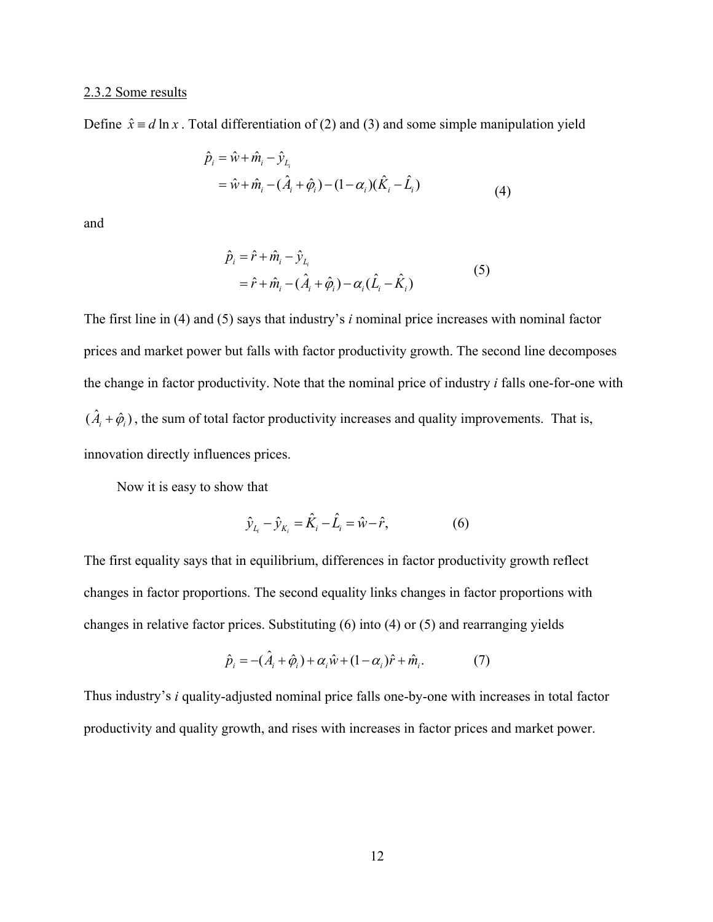#### 2.3.2 Some results

Define  $\hat{x} \equiv d \ln x$ . Total differentiation of (2) and (3) and some simple manipulation yield

$$
\hat{p}_i = \hat{w} + \hat{m}_i - \hat{y}_{L_i} \n= \hat{w} + \hat{m}_i - (\hat{A}_i + \hat{\varphi}_i) - (1 - \alpha_i)(\hat{K}_i - \hat{L}_i)
$$
\n(4)

and

$$
\hat{p}_i = \hat{r} + \hat{m}_i - \hat{y}_{L_i}
$$
\n
$$
= \hat{r} + \hat{m}_i - (\hat{A}_i + \hat{\varphi}_i) - \alpha_i(\hat{L}_i - \hat{K}_i)
$$
\n(5)

The first line in (4) and (5) says that industry's *i* nominal price increases with nominal factor prices and market power but falls with factor productivity growth. The second line decomposes the change in factor productivity. Note that the nominal price of industry *i* falls one-for-one with  $(\hat{A}_i + \hat{\varphi}_i)$ , the sum of total factor productivity increases and quality improvements. That is, innovation directly influences prices.

Now it is easy to show that

$$
\hat{y}_{L_i} - \hat{y}_{K_i} = \hat{K}_i - \hat{L}_i = \hat{w} - \hat{r},
$$
\n(6)

The first equality says that in equilibrium, differences in factor productivity growth reflect changes in factor proportions. The second equality links changes in factor proportions with changes in relative factor prices. Substituting (6) into (4) or (5) and rearranging yields

$$
\hat{p}_i = -(\hat{A}_i + \hat{\varphi}_i) + \alpha_i \hat{w} + (1 - \alpha_i)\hat{r} + \hat{m}_i.
$$
\n(7)

Thus industry's *i* quality-adjusted nominal price falls one-by-one with increases in total factor productivity and quality growth, and rises with increases in factor prices and market power.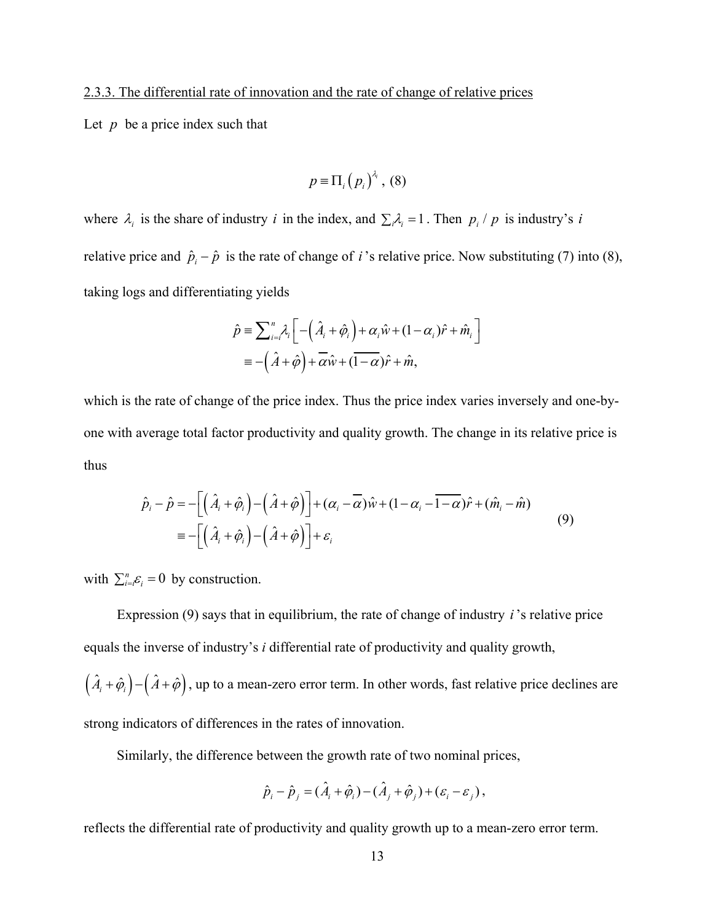# 2.3.3. The differential rate of innovation and the rate of change of relative prices

Let  $p$  be a price index such that

$$
p=\Pi_i(p_i)^{\lambda_i},\,(8)
$$

where  $\lambda_i$  is the share of industry *i* in the index, and  $\sum_i \lambda_i = 1$ . Then  $p_i / p$  is industry's *i* relative price and  $\hat{p}_i - \hat{p}$  is the rate of change of *i*'s relative price. Now substituting (7) into (8), taking logs and differentiating yields

$$
\hat{p} = \sum_{i=i}^{n} \lambda_i \left[ -\left(\hat{A}_i + \hat{\varphi}_i\right) + \alpha_i \hat{w} + (1 - \alpha_i) \hat{r} + \hat{m}_i \right]
$$
  
= -\left(\hat{A} + \hat{\varphi}\right) + \overline{\alpha} \hat{w} + (1 - \alpha\_i) \hat{r} + \hat{m},

which is the rate of change of the price index. Thus the price index varies inversely and one-byone with average total factor productivity and quality growth. The change in its relative price is thus

$$
\hat{p}_i - \hat{p} = -\left[ \left( \hat{A}_i + \hat{\varphi}_i \right) - \left( \hat{A} + \hat{\varphi} \right) \right] + (\alpha_i - \overline{\alpha})\hat{w} + (1 - \alpha_i - \overline{1 - \alpha})\hat{r} + (\hat{m}_i - \hat{m})
$$
\n
$$
= -\left[ \left( \hat{A}_i + \hat{\varphi}_i \right) - \left( \hat{A} + \hat{\varphi} \right) \right] + \varepsilon_i
$$
\n(9)

with  $\sum_{i=i}^{n} \varepsilon_i = 0$  by construction.

Expression (9) says that in equilibrium, the rate of change of industry *i*'s relative price equals the inverse of industry's *i* differential rate of productivity and quality growth,  $(\hat{A}_i + \hat{\varphi}_i) - (\hat{A} + \hat{\varphi})$ , up to a mean-zero error term. In other words, fast relative price declines are

strong indicators of differences in the rates of innovation.

Similarly, the difference between the growth rate of two nominal prices,

$$
\hat{p}_i - \hat{p}_j = (\hat{A}_i + \hat{\varphi}_i) - (\hat{A}_j + \hat{\varphi}_j) + (\varepsilon_i - \varepsilon_j),
$$

reflects the differential rate of productivity and quality growth up to a mean-zero error term.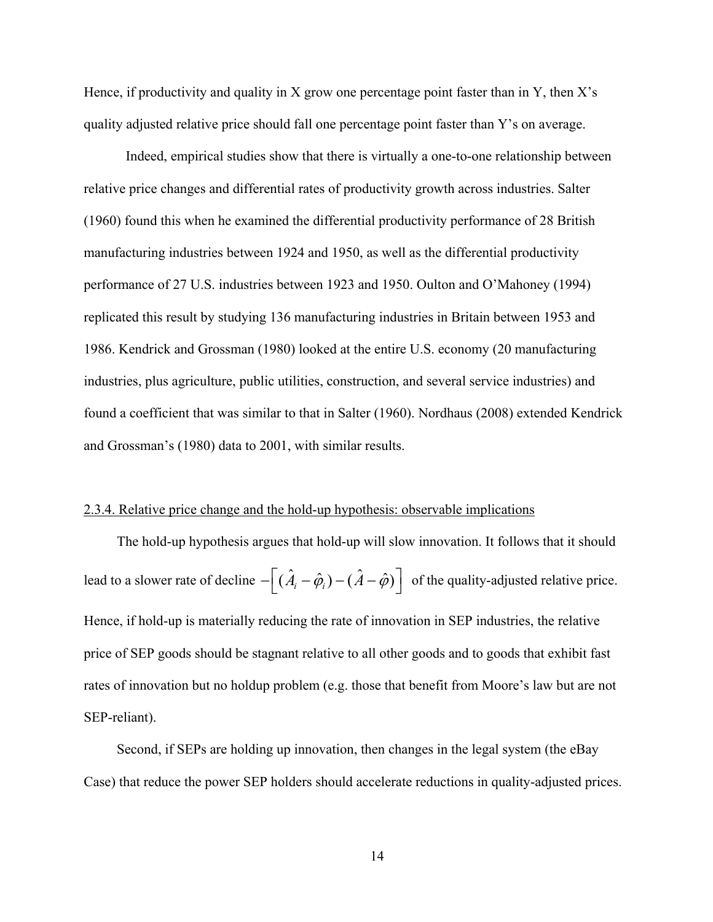Hence, if productivity and quality in X grow one percentage point faster than in Y, then  $X$ 's quality adjusted relative price should fall one percentage point faster than Y's on average.

Indeed, empirical studies show that there is virtually a one-to-one relationship between relative price changes and differential rates of productivity growth across industries. Salter (1960) found this when he examined the differential productivity performance of 28 British manufacturing industries between 1924 and 1950, as well as the differential productivity performance of 27 U.S. industries between 1923 and 1950. Oulton and O'Mahoney (1994) replicated this result by studying 136 manufacturing industries in Britain between 1953 and 1986. Kendrick and Grossman (1980) looked at the entire U.S. economy (20 manufacturing industries, plus agriculture, public utilities, construction, and several service industries) and found a coefficient that was similar to that in Salter (1960). Nordhaus (2008) extended Kendrick and Grossman's (1980) data to 2001, with similar results.

#### 2.3.4. Relative price change and the hold-up hypothesis: observable implications

The hold-up hypothesis argues that hold-up will slow innovation. It follows that it should lead to a slower rate of decline  $-\left[ (\hat{A}_i - \hat{\varphi}_i) - (\hat{A} - \hat{\varphi}) \right]$  of the quality-adjusted relative price. Hence, if hold-up is materially reducing the rate of innovation in SEP industries, the relative price of SEP goods should be stagnant relative to all other goods and to goods that exhibit fast rates of innovation but no holdup problem (e.g. those that benefit from Moore's law but are not SEP-reliant).

Second, if SEPs are holding up innovation, then changes in the legal system (the eBay Case) that reduce the power SEP holders should accelerate reductions in quality-adjusted prices.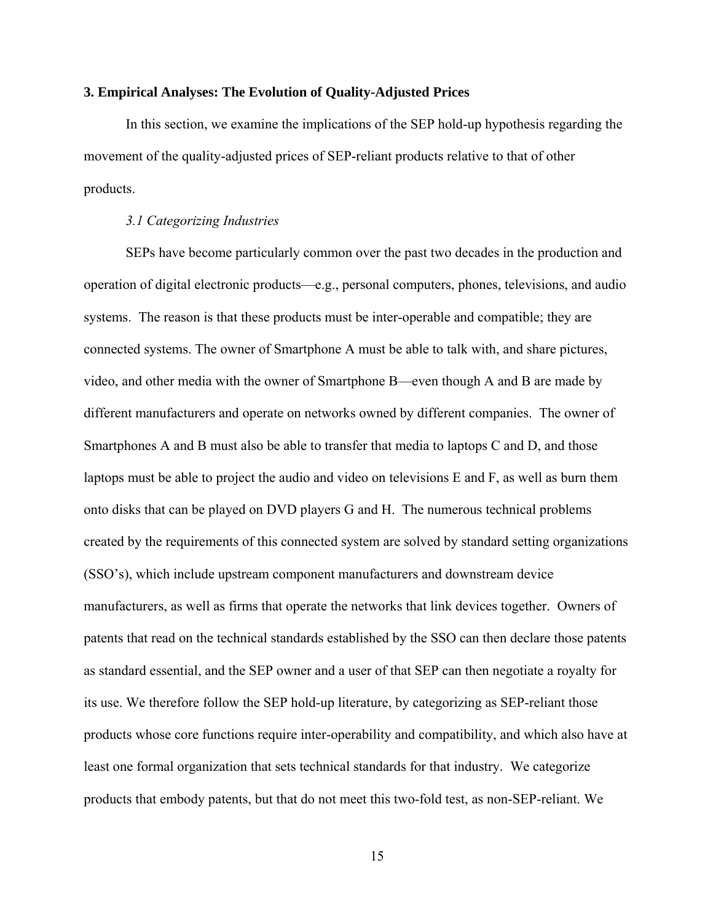#### **3. Empirical Analyses: The Evolution of Quality-Adjusted Prices**

In this section, we examine the implications of the SEP hold-up hypothesis regarding the movement of the quality-adjusted prices of SEP-reliant products relative to that of other products.

#### *3.1 Categorizing Industries*

SEPs have become particularly common over the past two decades in the production and operation of digital electronic products—e.g., personal computers, phones, televisions, and audio systems. The reason is that these products must be inter-operable and compatible; they are connected systems. The owner of Smartphone A must be able to talk with, and share pictures, video, and other media with the owner of Smartphone B—even though A and B are made by different manufacturers and operate on networks owned by different companies. The owner of Smartphones A and B must also be able to transfer that media to laptops C and D, and those laptops must be able to project the audio and video on televisions E and F, as well as burn them onto disks that can be played on DVD players G and H. The numerous technical problems created by the requirements of this connected system are solved by standard setting organizations (SSO's), which include upstream component manufacturers and downstream device manufacturers, as well as firms that operate the networks that link devices together. Owners of patents that read on the technical standards established by the SSO can then declare those patents as standard essential, and the SEP owner and a user of that SEP can then negotiate a royalty for its use. We therefore follow the SEP hold-up literature, by categorizing as SEP-reliant those products whose core functions require inter-operability and compatibility, and which also have at least one formal organization that sets technical standards for that industry. We categorize products that embody patents, but that do not meet this two-fold test, as non-SEP-reliant. We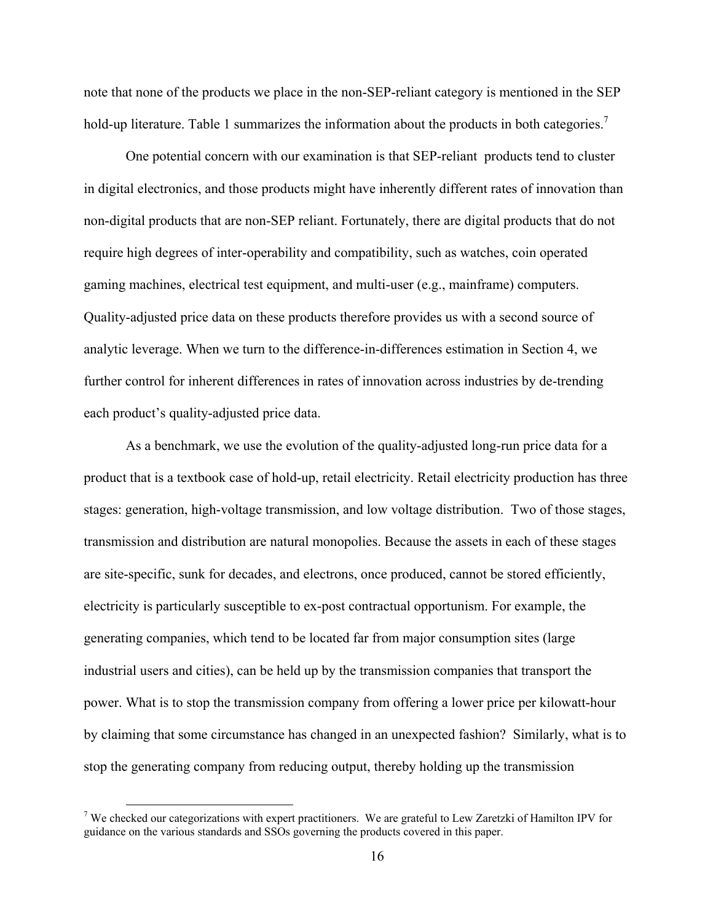note that none of the products we place in the non-SEP-reliant category is mentioned in the SEP hold-up literature. Table 1 summarizes the information about the products in both categories.<sup>7</sup>

One potential concern with our examination is that SEP-reliant products tend to cluster in digital electronics, and those products might have inherently different rates of innovation than non-digital products that are non-SEP reliant. Fortunately, there are digital products that do not require high degrees of inter-operability and compatibility, such as watches, coin operated gaming machines, electrical test equipment, and multi-user (e.g., mainframe) computers. Quality-adjusted price data on these products therefore provides us with a second source of analytic leverage. When we turn to the difference-in-differences estimation in Section 4, we further control for inherent differences in rates of innovation across industries by de-trending each product's quality-adjusted price data.

As a benchmark, we use the evolution of the quality-adjusted long-run price data for a product that is a textbook case of hold-up, retail electricity. Retail electricity production has three stages: generation, high-voltage transmission, and low voltage distribution. Two of those stages, transmission and distribution are natural monopolies. Because the assets in each of these stages are site-specific, sunk for decades, and electrons, once produced, cannot be stored efficiently, electricity is particularly susceptible to ex-post contractual opportunism. For example, the generating companies, which tend to be located far from major consumption sites (large industrial users and cities), can be held up by the transmission companies that transport the power. What is to stop the transmission company from offering a lower price per kilowatt-hour by claiming that some circumstance has changed in an unexpected fashion? Similarly, what is to stop the generating company from reducing output, thereby holding up the transmission

<sup>&</sup>lt;sup>7</sup> We checked our categorizations with expert practitioners. We are grateful to Lew Zaretzki of Hamilton IPV for guidance on the various standards and SSOs governing the products covered in this paper.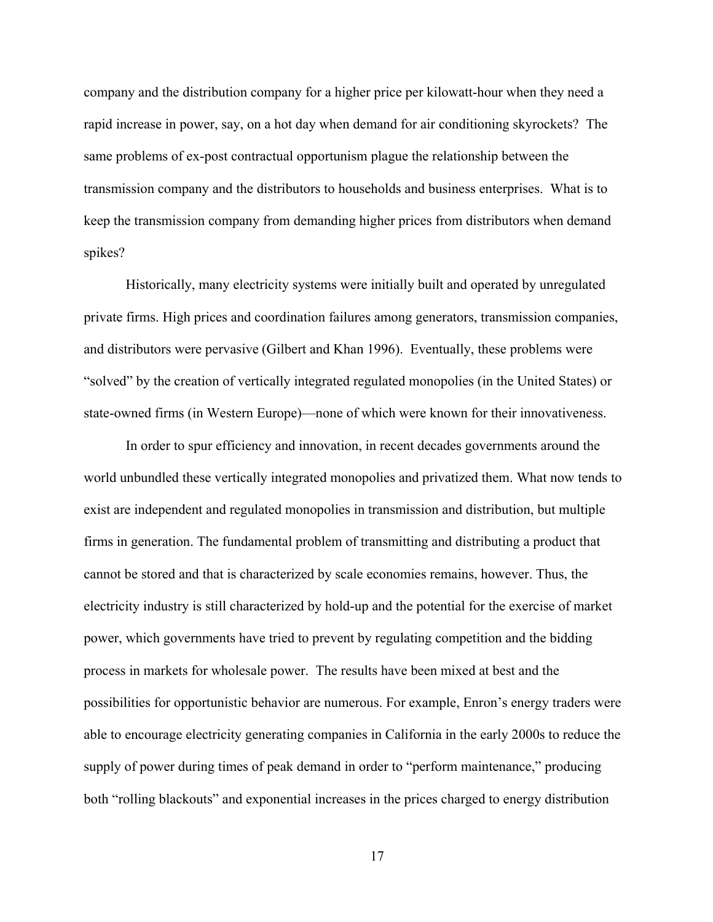company and the distribution company for a higher price per kilowatt-hour when they need a rapid increase in power, say, on a hot day when demand for air conditioning skyrockets? The same problems of ex-post contractual opportunism plague the relationship between the transmission company and the distributors to households and business enterprises. What is to keep the transmission company from demanding higher prices from distributors when demand spikes?

Historically, many electricity systems were initially built and operated by unregulated private firms. High prices and coordination failures among generators, transmission companies, and distributors were pervasive (Gilbert and Khan 1996). Eventually, these problems were "solved" by the creation of vertically integrated regulated monopolies (in the United States) or state-owned firms (in Western Europe)—none of which were known for their innovativeness.

In order to spur efficiency and innovation, in recent decades governments around the world unbundled these vertically integrated monopolies and privatized them. What now tends to exist are independent and regulated monopolies in transmission and distribution, but multiple firms in generation. The fundamental problem of transmitting and distributing a product that cannot be stored and that is characterized by scale economies remains, however. Thus, the electricity industry is still characterized by hold-up and the potential for the exercise of market power, which governments have tried to prevent by regulating competition and the bidding process in markets for wholesale power. The results have been mixed at best and the possibilities for opportunistic behavior are numerous. For example, Enron's energy traders were able to encourage electricity generating companies in California in the early 2000s to reduce the supply of power during times of peak demand in order to "perform maintenance," producing both "rolling blackouts" and exponential increases in the prices charged to energy distribution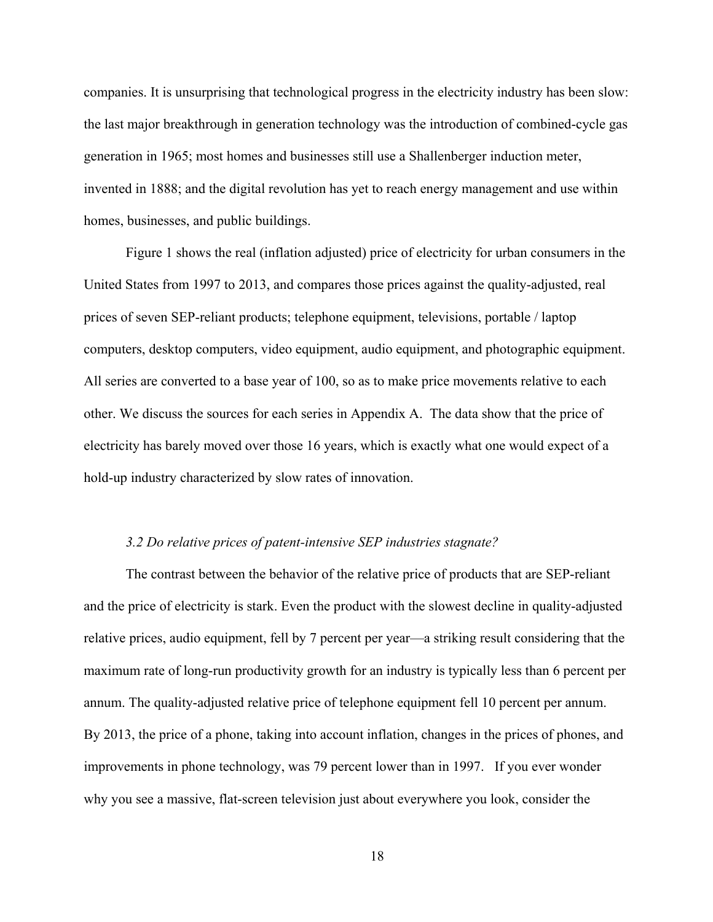companies. It is unsurprising that technological progress in the electricity industry has been slow: the last major breakthrough in generation technology was the introduction of combined-cycle gas generation in 1965; most homes and businesses still use a Shallenberger induction meter, invented in 1888; and the digital revolution has yet to reach energy management and use within homes, businesses, and public buildings.

Figure 1 shows the real (inflation adjusted) price of electricity for urban consumers in the United States from 1997 to 2013, and compares those prices against the quality-adjusted, real prices of seven SEP-reliant products; telephone equipment, televisions, portable / laptop computers, desktop computers, video equipment, audio equipment, and photographic equipment. All series are converted to a base year of 100, so as to make price movements relative to each other. We discuss the sources for each series in Appendix A. The data show that the price of electricity has barely moved over those 16 years, which is exactly what one would expect of a hold-up industry characterized by slow rates of innovation.

# *3.2 Do relative prices of patent-intensive SEP industries stagnate?*

The contrast between the behavior of the relative price of products that are SEP-reliant and the price of electricity is stark. Even the product with the slowest decline in quality-adjusted relative prices, audio equipment, fell by 7 percent per year—a striking result considering that the maximum rate of long-run productivity growth for an industry is typically less than 6 percent per annum. The quality-adjusted relative price of telephone equipment fell 10 percent per annum. By 2013, the price of a phone, taking into account inflation, changes in the prices of phones, and improvements in phone technology, was 79 percent lower than in 1997. If you ever wonder why you see a massive, flat-screen television just about everywhere you look, consider the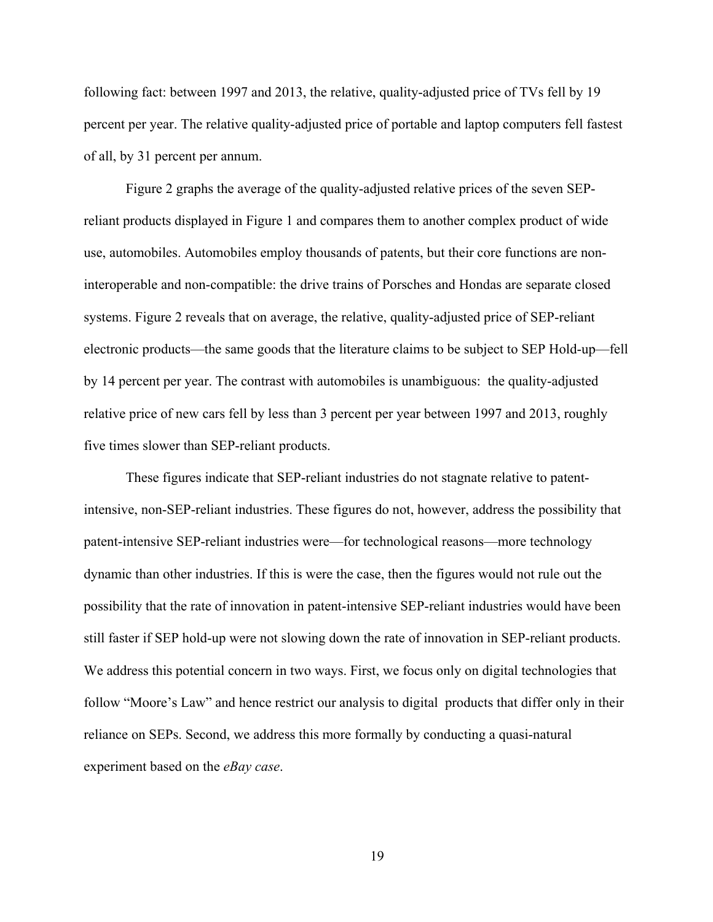following fact: between 1997 and 2013, the relative, quality-adjusted price of TVs fell by 19 percent per year. The relative quality-adjusted price of portable and laptop computers fell fastest of all, by 31 percent per annum.

Figure 2 graphs the average of the quality-adjusted relative prices of the seven SEPreliant products displayed in Figure 1 and compares them to another complex product of wide use, automobiles. Automobiles employ thousands of patents, but their core functions are noninteroperable and non-compatible: the drive trains of Porsches and Hondas are separate closed systems. Figure 2 reveals that on average, the relative, quality-adjusted price of SEP-reliant electronic products—the same goods that the literature claims to be subject to SEP Hold-up—fell by 14 percent per year. The contrast with automobiles is unambiguous: the quality-adjusted relative price of new cars fell by less than 3 percent per year between 1997 and 2013, roughly five times slower than SEP-reliant products.

These figures indicate that SEP-reliant industries do not stagnate relative to patentintensive, non-SEP-reliant industries. These figures do not, however, address the possibility that patent-intensive SEP-reliant industries were—for technological reasons—more technology dynamic than other industries. If this is were the case, then the figures would not rule out the possibility that the rate of innovation in patent-intensive SEP-reliant industries would have been still faster if SEP hold-up were not slowing down the rate of innovation in SEP-reliant products. We address this potential concern in two ways. First, we focus only on digital technologies that follow "Moore's Law" and hence restrict our analysis to digital products that differ only in their reliance on SEPs. Second, we address this more formally by conducting a quasi-natural experiment based on the *eBay case*.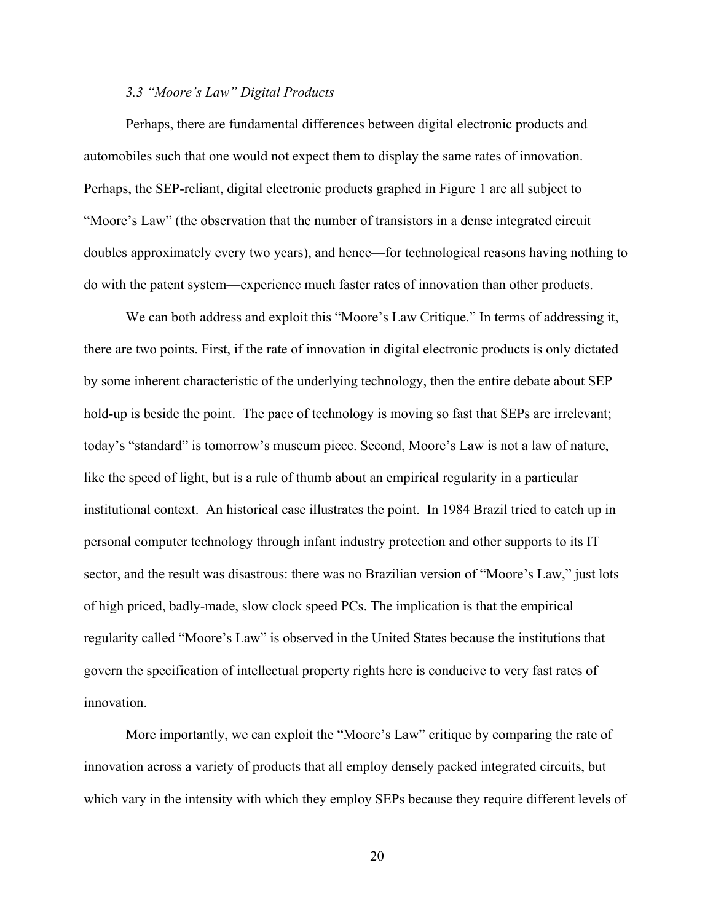# *3.3 "Moore's Law" Digital Products*

Perhaps, there are fundamental differences between digital electronic products and automobiles such that one would not expect them to display the same rates of innovation. Perhaps, the SEP-reliant, digital electronic products graphed in Figure 1 are all subject to "Moore's Law" (the observation that the number of transistors in a dense integrated circuit doubles approximately every two years), and hence—for technological reasons having nothing to do with the patent system—experience much faster rates of innovation than other products.

We can both address and exploit this "Moore's Law Critique." In terms of addressing it, there are two points. First, if the rate of innovation in digital electronic products is only dictated by some inherent characteristic of the underlying technology, then the entire debate about SEP hold-up is beside the point. The pace of technology is moving so fast that SEPs are irrelevant; today's "standard" is tomorrow's museum piece. Second, Moore's Law is not a law of nature, like the speed of light, but is a rule of thumb about an empirical regularity in a particular institutional context. An historical case illustrates the point. In 1984 Brazil tried to catch up in personal computer technology through infant industry protection and other supports to its IT sector, and the result was disastrous: there was no Brazilian version of "Moore's Law," just lots of high priced, badly-made, slow clock speed PCs. The implication is that the empirical regularity called "Moore's Law" is observed in the United States because the institutions that govern the specification of intellectual property rights here is conducive to very fast rates of innovation.

More importantly, we can exploit the "Moore's Law" critique by comparing the rate of innovation across a variety of products that all employ densely packed integrated circuits, but which vary in the intensity with which they employ SEPs because they require different levels of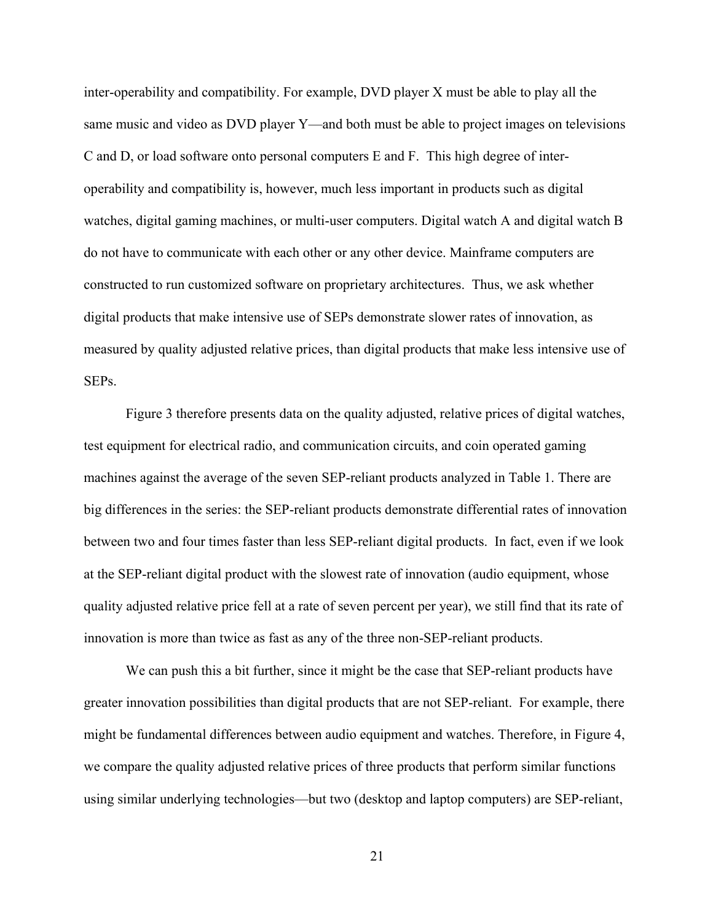inter-operability and compatibility. For example, DVD player X must be able to play all the same music and video as DVD player Y—and both must be able to project images on televisions C and D, or load software onto personal computers E and F. This high degree of interoperability and compatibility is, however, much less important in products such as digital watches, digital gaming machines, or multi-user computers. Digital watch A and digital watch B do not have to communicate with each other or any other device. Mainframe computers are constructed to run customized software on proprietary architectures. Thus, we ask whether digital products that make intensive use of SEPs demonstrate slower rates of innovation, as measured by quality adjusted relative prices, than digital products that make less intensive use of SEPs.

Figure 3 therefore presents data on the quality adjusted, relative prices of digital watches, test equipment for electrical radio, and communication circuits, and coin operated gaming machines against the average of the seven SEP-reliant products analyzed in Table 1. There are big differences in the series: the SEP-reliant products demonstrate differential rates of innovation between two and four times faster than less SEP-reliant digital products. In fact, even if we look at the SEP-reliant digital product with the slowest rate of innovation (audio equipment, whose quality adjusted relative price fell at a rate of seven percent per year), we still find that its rate of innovation is more than twice as fast as any of the three non-SEP-reliant products.

We can push this a bit further, since it might be the case that SEP-reliant products have greater innovation possibilities than digital products that are not SEP-reliant. For example, there might be fundamental differences between audio equipment and watches. Therefore, in Figure 4, we compare the quality adjusted relative prices of three products that perform similar functions using similar underlying technologies—but two (desktop and laptop computers) are SEP-reliant,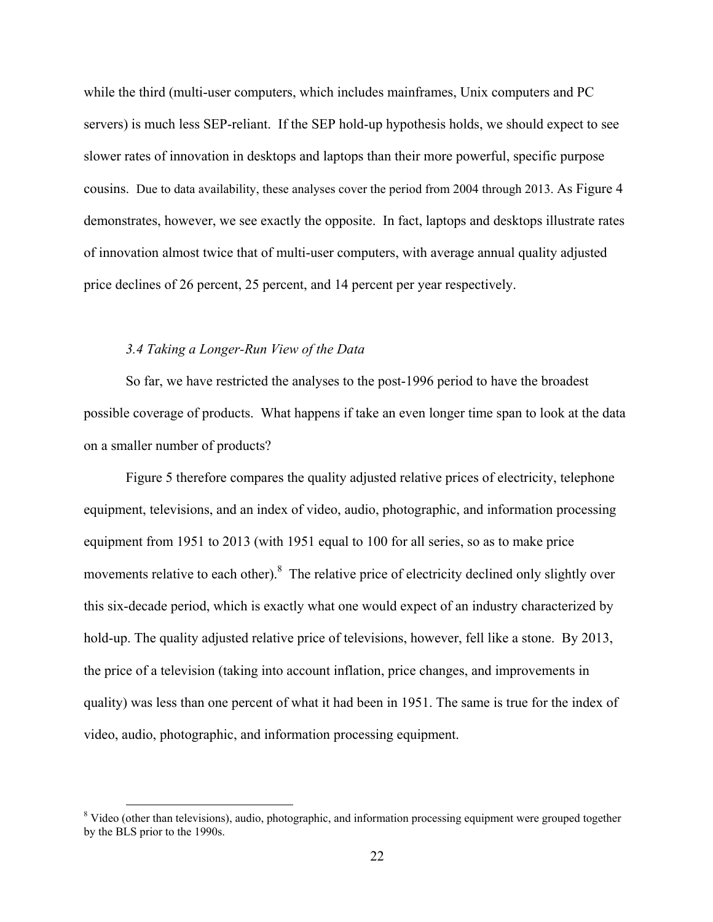while the third (multi-user computers, which includes mainframes, Unix computers and PC servers) is much less SEP-reliant. If the SEP hold-up hypothesis holds, we should expect to see slower rates of innovation in desktops and laptops than their more powerful, specific purpose cousins. Due to data availability, these analyses cover the period from 2004 through 2013. As Figure 4 demonstrates, however, we see exactly the opposite. In fact, laptops and desktops illustrate rates of innovation almost twice that of multi-user computers, with average annual quality adjusted price declines of 26 percent, 25 percent, and 14 percent per year respectively.

# *3.4 Taking a Longer-Run View of the Data*

So far, we have restricted the analyses to the post-1996 period to have the broadest possible coverage of products. What happens if take an even longer time span to look at the data on a smaller number of products?

Figure 5 therefore compares the quality adjusted relative prices of electricity, telephone equipment, televisions, and an index of video, audio, photographic, and information processing equipment from 1951 to 2013 (with 1951 equal to 100 for all series, so as to make price movements relative to each other).<sup>8</sup> The relative price of electricity declined only slightly over this six-decade period, which is exactly what one would expect of an industry characterized by hold-up. The quality adjusted relative price of televisions, however, fell like a stone. By 2013, the price of a television (taking into account inflation, price changes, and improvements in quality) was less than one percent of what it had been in 1951. The same is true for the index of video, audio, photographic, and information processing equipment.

<sup>&</sup>lt;sup>8</sup> Video (other than televisions), audio, photographic, and information processing equipment were grouped together by the BLS prior to the 1990s.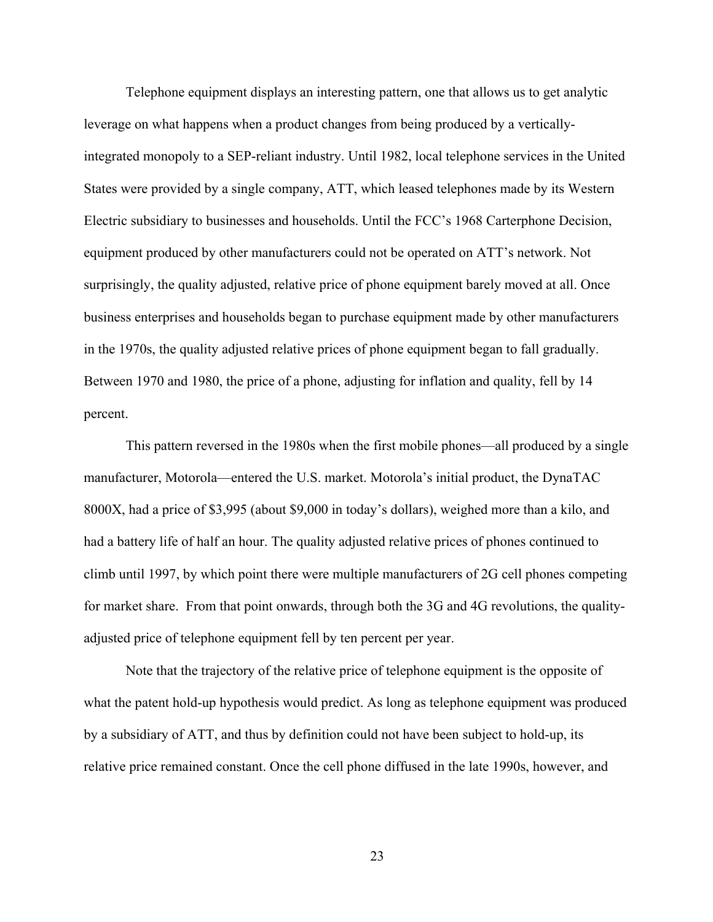Telephone equipment displays an interesting pattern, one that allows us to get analytic leverage on what happens when a product changes from being produced by a verticallyintegrated monopoly to a SEP-reliant industry. Until 1982, local telephone services in the United States were provided by a single company, ATT, which leased telephones made by its Western Electric subsidiary to businesses and households. Until the FCC's 1968 Carterphone Decision, equipment produced by other manufacturers could not be operated on ATT's network. Not surprisingly, the quality adjusted, relative price of phone equipment barely moved at all. Once business enterprises and households began to purchase equipment made by other manufacturers in the 1970s, the quality adjusted relative prices of phone equipment began to fall gradually. Between 1970 and 1980, the price of a phone, adjusting for inflation and quality, fell by 14 percent.

This pattern reversed in the 1980s when the first mobile phones—all produced by a single manufacturer, Motorola—entered the U.S. market. Motorola's initial product, the DynaTAC 8000X, had a price of \$3,995 (about \$9,000 in today's dollars), weighed more than a kilo, and had a battery life of half an hour. The quality adjusted relative prices of phones continued to climb until 1997, by which point there were multiple manufacturers of 2G cell phones competing for market share. From that point onwards, through both the 3G and 4G revolutions, the qualityadjusted price of telephone equipment fell by ten percent per year.

Note that the trajectory of the relative price of telephone equipment is the opposite of what the patent hold-up hypothesis would predict. As long as telephone equipment was produced by a subsidiary of ATT, and thus by definition could not have been subject to hold-up, its relative price remained constant. Once the cell phone diffused in the late 1990s, however, and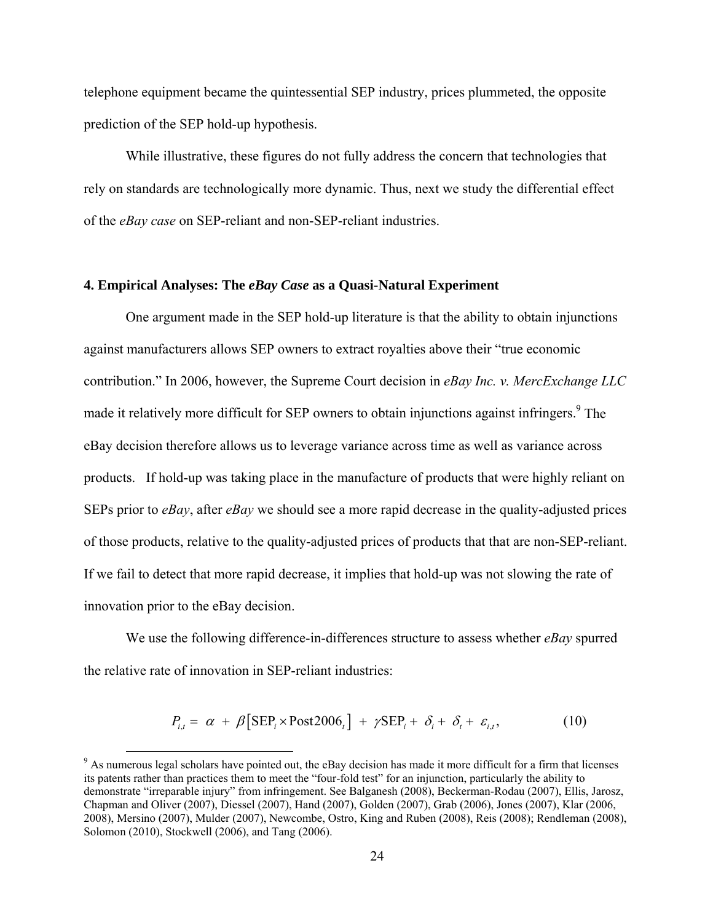telephone equipment became the quintessential SEP industry, prices plummeted, the opposite prediction of the SEP hold-up hypothesis.

While illustrative, these figures do not fully address the concern that technologies that rely on standards are technologically more dynamic. Thus, next we study the differential effect of the *eBay case* on SEP-reliant and non-SEP-reliant industries.

#### **4. Empirical Analyses: The** *eBay Case* **as a Quasi-Natural Experiment**

One argument made in the SEP hold-up literature is that the ability to obtain injunctions against manufacturers allows SEP owners to extract royalties above their "true economic contribution." In 2006, however, the Supreme Court decision in *eBay Inc. v. MercExchange LLC* made it relatively more difficult for SEP owners to obtain injunctions against infringers.<sup>9</sup> The eBay decision therefore allows us to leverage variance across time as well as variance across products. If hold-up was taking place in the manufacture of products that were highly reliant on SEPs prior to *eBay*, after *eBay* we should see a more rapid decrease in the quality-adjusted prices of those products, relative to the quality-adjusted prices of products that that are non-SEP-reliant. If we fail to detect that more rapid decrease, it implies that hold-up was not slowing the rate of innovation prior to the eBay decision.

We use the following difference-in-differences structure to assess whether *eBay* spurred the relative rate of innovation in SEP-reliant industries:

$$
P_{i,t} = \alpha + \beta \left[ \text{SEP}_i \times \text{Post2006}_t \right] + \gamma \text{SEP}_i + \delta_i + \delta_t + \varepsilon_{i,t}, \tag{10}
$$

<sup>&</sup>lt;sup>9</sup> As numerous legal scholars have pointed out, the eBay decision has made it more difficult for a firm that licenses its patents rather than practices them to meet the "four-fold test" for an injunction, particularly the ability to demonstrate "irreparable injury" from infringement. See Balganesh (2008), Beckerman-Rodau (2007), Ellis, Jarosz, Chapman and Oliver (2007), Diessel (2007), Hand (2007), Golden (2007), Grab (2006), Jones (2007), Klar (2006, 2008), Mersino (2007), Mulder (2007), Newcombe, Ostro, King and Ruben (2008), Reis (2008); Rendleman (2008), Solomon (2010), Stockwell (2006), and Tang (2006).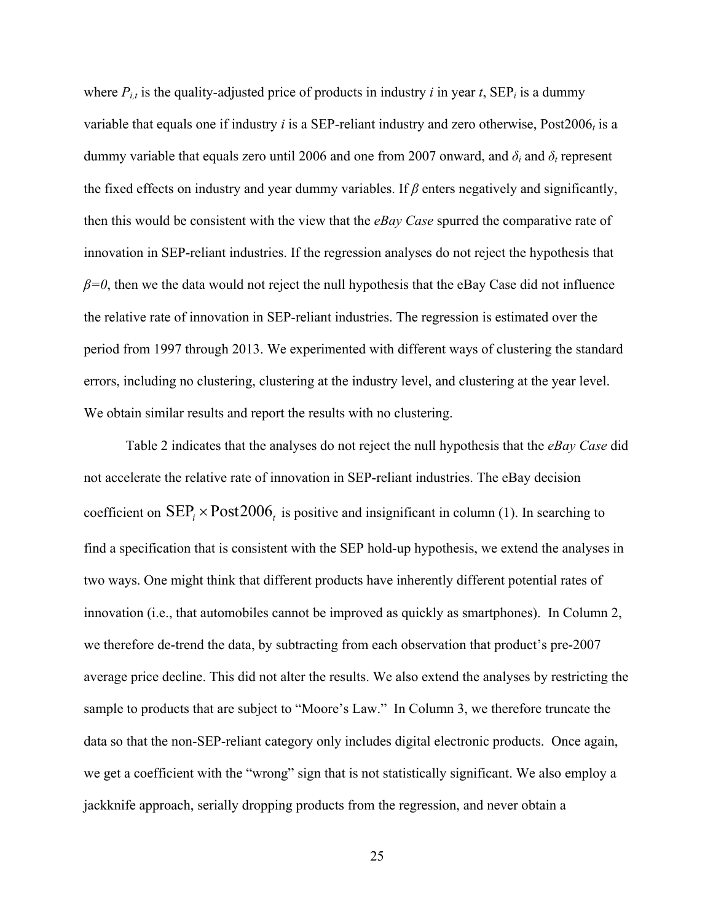where  $P_{i,t}$  is the quality-adjusted price of products in industry *i* in year *t*,  $\text{SEP}_i$  is a dummy variable that equals one if industry  $i$  is a SEP-reliant industry and zero otherwise, Post2006 $<sub>t</sub>$  is a</sub> dummy variable that equals zero until 2006 and one from 2007 onward, and  $\delta_i$  and  $\delta_t$  represent the fixed effects on industry and year dummy variables. If *β* enters negatively and significantly, then this would be consistent with the view that the *eBay Case* spurred the comparative rate of innovation in SEP-reliant industries. If the regression analyses do not reject the hypothesis that  $\beta$ =0, then we the data would not reject the null hypothesis that the eBay Case did not influence the relative rate of innovation in SEP-reliant industries. The regression is estimated over the period from 1997 through 2013. We experimented with different ways of clustering the standard errors, including no clustering, clustering at the industry level, and clustering at the year level. We obtain similar results and report the results with no clustering.

Table 2 indicates that the analyses do not reject the null hypothesis that the *eBay Case* did not accelerate the relative rate of innovation in SEP-reliant industries. The eBay decision coefficient on  $\text{SEP}_{i} \times \text{Post2006}_{i}$  is positive and insignificant in column (1). In searching to find a specification that is consistent with the SEP hold-up hypothesis, we extend the analyses in two ways. One might think that different products have inherently different potential rates of innovation (i.e., that automobiles cannot be improved as quickly as smartphones). In Column 2, we therefore de-trend the data, by subtracting from each observation that product's pre-2007 average price decline. This did not alter the results. We also extend the analyses by restricting the sample to products that are subject to "Moore's Law." In Column 3, we therefore truncate the data so that the non-SEP-reliant category only includes digital electronic products. Once again, we get a coefficient with the "wrong" sign that is not statistically significant. We also employ a jackknife approach, serially dropping products from the regression, and never obtain a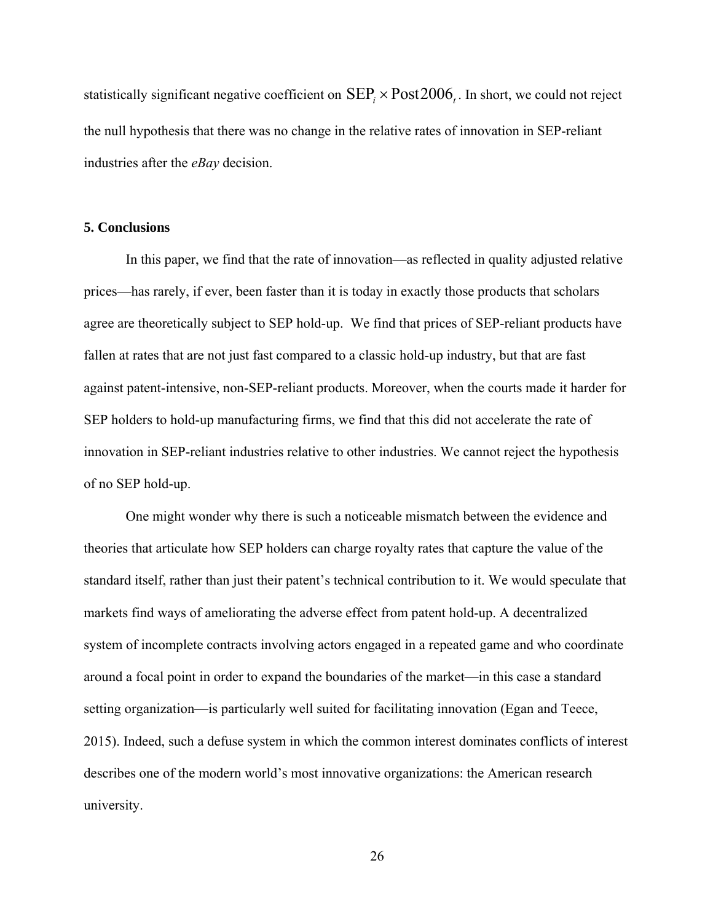statistically significant negative coefficient on  $\text{SEP}_{i} \times \text{Post2006}_{i}$ . In short, we could not reject the null hypothesis that there was no change in the relative rates of innovation in SEP-reliant industries after the *eBay* decision.

# **5. Conclusions**

In this paper, we find that the rate of innovation—as reflected in quality adjusted relative prices—has rarely, if ever, been faster than it is today in exactly those products that scholars agree are theoretically subject to SEP hold-up. We find that prices of SEP-reliant products have fallen at rates that are not just fast compared to a classic hold-up industry, but that are fast against patent-intensive, non-SEP-reliant products. Moreover, when the courts made it harder for SEP holders to hold-up manufacturing firms, we find that this did not accelerate the rate of innovation in SEP-reliant industries relative to other industries. We cannot reject the hypothesis of no SEP hold-up.

One might wonder why there is such a noticeable mismatch between the evidence and theories that articulate how SEP holders can charge royalty rates that capture the value of the standard itself, rather than just their patent's technical contribution to it. We would speculate that markets find ways of ameliorating the adverse effect from patent hold-up. A decentralized system of incomplete contracts involving actors engaged in a repeated game and who coordinate around a focal point in order to expand the boundaries of the market—in this case a standard setting organization—is particularly well suited for facilitating innovation (Egan and Teece, 2015). Indeed, such a defuse system in which the common interest dominates conflicts of interest describes one of the modern world's most innovative organizations: the American research university.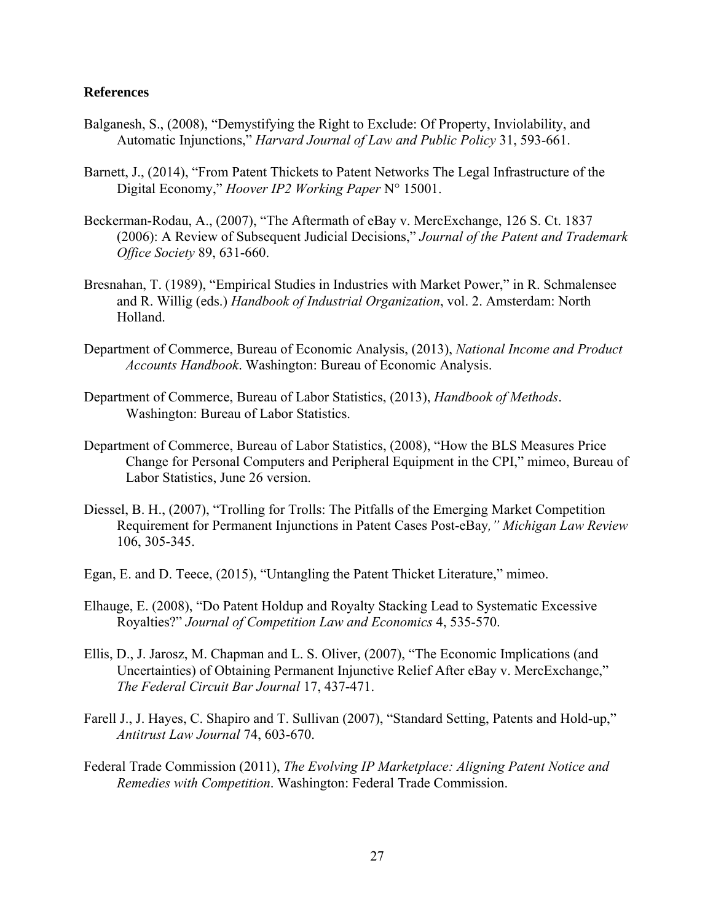# **References**

- Balganesh, S., (2008), "Demystifying the Right to Exclude: Of Property, Inviolability, and Automatic Injunctions," *Harvard Journal of Law and Public Policy* 31, 593-661.
- Barnett, J., (2014), "From Patent Thickets to Patent Networks The Legal Infrastructure of the Digital Economy," *Hoover IP2 Working Paper* N° 15001.
- Beckerman-Rodau, A., (2007), "The Aftermath of eBay v. MercExchange, 126 S. Ct. 1837 (2006): A Review of Subsequent Judicial Decisions," *Journal of the Patent and Trademark Office Society* 89, 631-660.
- Bresnahan, T. (1989), "Empirical Studies in Industries with Market Power," in R. Schmalensee and R. Willig (eds.) *Handbook of Industrial Organization*, vol. 2. Amsterdam: North Holland.
- Department of Commerce, Bureau of Economic Analysis, (2013), *National Income and Product Accounts Handbook*. Washington: Bureau of Economic Analysis.
- Department of Commerce, Bureau of Labor Statistics, (2013), *Handbook of Methods*. Washington: Bureau of Labor Statistics.
- Department of Commerce, Bureau of Labor Statistics, (2008), "How the BLS Measures Price Change for Personal Computers and Peripheral Equipment in the CPI," mimeo, Bureau of Labor Statistics, June 26 version.
- Diessel, B. H., (2007), "Trolling for Trolls: The Pitfalls of the Emerging Market Competition Requirement for Permanent Injunctions in Patent Cases Post-eBay*," Michigan Law Review* 106, 305-345.
- Egan, E. and D. Teece, (2015), "Untangling the Patent Thicket Literature," mimeo.
- Elhauge, E. (2008), "Do Patent Holdup and Royalty Stacking Lead to Systematic Excessive Royalties?" *Journal of Competition Law and Economics* 4, 535-570.
- Ellis, D., J. Jarosz, M. Chapman and L. S. Oliver, (2007), "The Economic Implications (and Uncertainties) of Obtaining Permanent Injunctive Relief After eBay v. MercExchange," *The Federal Circuit Bar Journal* 17, 437-471.
- Farell J., J. Hayes, C. Shapiro and T. Sullivan (2007), "Standard Setting, Patents and Hold-up," *Antitrust Law Journal* 74, 603-670.
- Federal Trade Commission (2011), *The Evolving IP Marketplace: Aligning Patent Notice and Remedies with Competition*. Washington: Federal Trade Commission.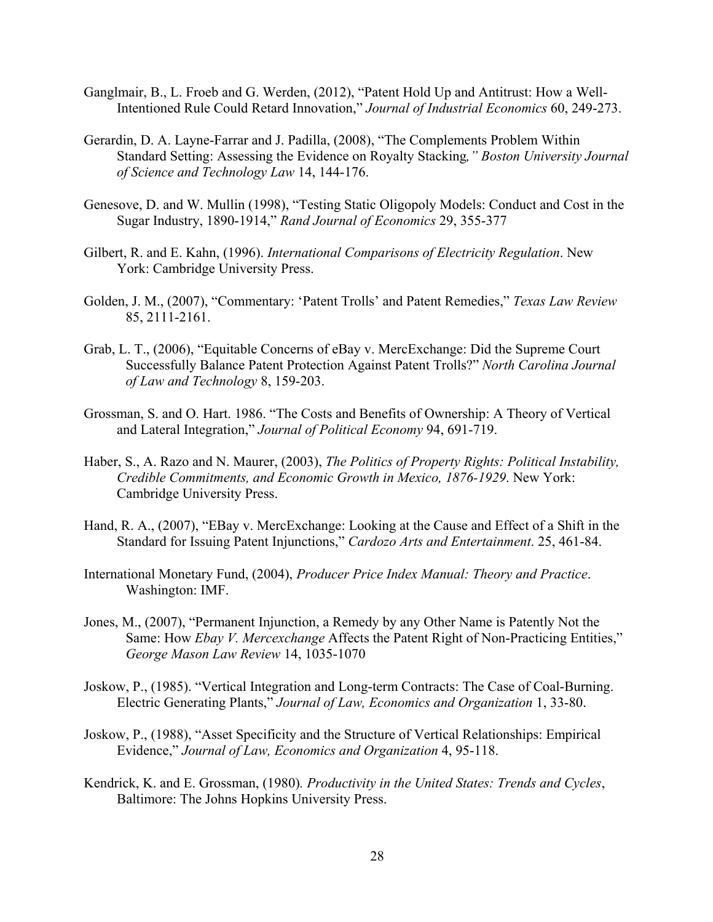- Ganglmair, B., L. Froeb and G. Werden, (2012), "Patent Hold Up and Antitrust: How a Well-Intentioned Rule Could Retard Innovation," *Journal of Industrial Economics* 60, 249-273.
- Gerardin, D. A. Layne-Farrar and J. Padilla, (2008), "The Complements Problem Within Standard Setting: Assessing the Evidence on Royalty Stacking*," Boston University Journal of Science and Technology Law* 14, 144-176.
- Genesove, D. and W. Mullin (1998), "Testing Static Oligopoly Models: Conduct and Cost in the Sugar Industry, 1890-1914," *Rand Journal of Economics* 29, 355-377
- Gilbert, R. and E. Kahn, (1996). *International Comparisons of Electricity Regulation*. New York: Cambridge University Press.
- Golden, J. M., (2007), "Commentary: 'Patent Trolls' and Patent Remedies," *Texas Law Review* 85, 2111-2161.
- Grab, L. T., (2006), "Equitable Concerns of eBay v. MercExchange: Did the Supreme Court Successfully Balance Patent Protection Against Patent Trolls?" *North Carolina Journal of Law and Technology* 8, 159-203.
- Grossman, S. and O. Hart. 1986. "The Costs and Benefits of Ownership: A Theory of Vertical and Lateral Integration," *Journal of Political Economy* 94, 691-719.
- Haber, S., A. Razo and N. Maurer, (2003), *The Politics of Property Rights: Political Instability, Credible Commitments, and Economic Growth in Mexico, 1876-1929*. New York: Cambridge University Press.
- Hand, R. A., (2007), "EBay v. MercExchange: Looking at the Cause and Effect of a Shift in the Standard for Issuing Patent Injunctions," *Cardozo Arts and Entertainment*. 25, 461-84.
- International Monetary Fund, (2004), *Producer Price Index Manual: Theory and Practice*. Washington: IMF.
- Jones, M., (2007), "Permanent Injunction, a Remedy by any Other Name is Patently Not the Same: How *Ebay V. Mercexchange* Affects the Patent Right of Non-Practicing Entities," *George Mason Law Review* 14, 1035-1070
- Joskow, P., (1985). "Vertical Integration and Long-term Contracts: The Case of Coal-Burning. Electric Generating Plants," *Journal of Law, Economics and Organization* 1, 33-80.
- Joskow, P., (1988), "Asset Specificity and the Structure of Vertical Relationships: Empirical Evidence," *Journal of Law, Economics and Organization* 4, 95-118.
- Kendrick, K. and E. Grossman, (1980)*. Productivity in the United States: Trends and Cycles*, Baltimore: The Johns Hopkins University Press.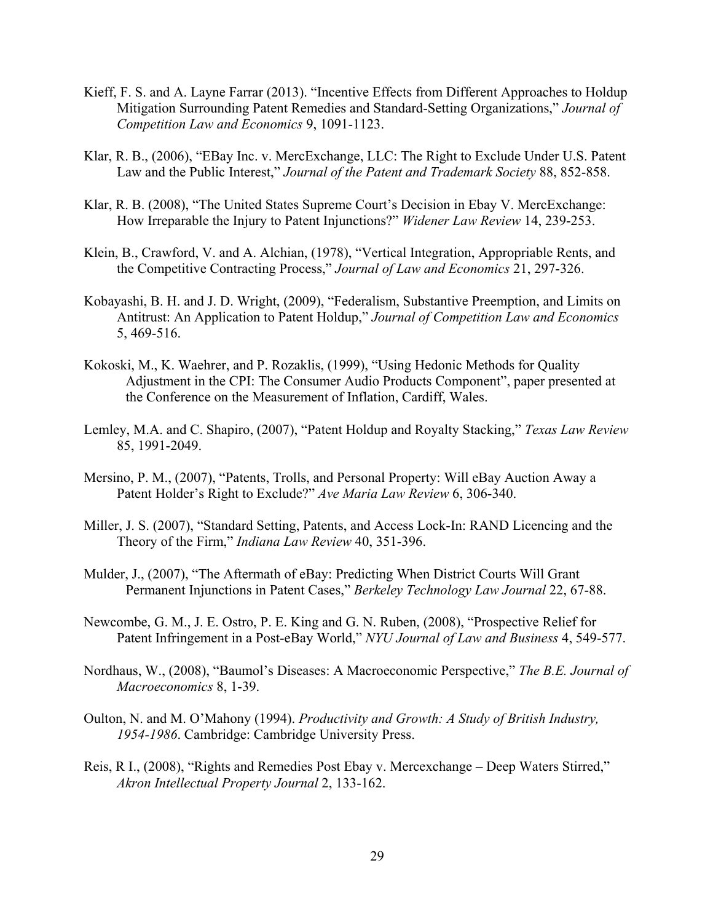- Kieff, F. S. and A. Layne Farrar (2013). "Incentive Effects from Different Approaches to Holdup Mitigation Surrounding Patent Remedies and Standard-Setting Organizations," *Journal of Competition Law and Economics* 9, 1091-1123.
- Klar, R. B., (2006), "EBay Inc. v. MercExchange, LLC: The Right to Exclude Under U.S. Patent Law and the Public Interest," *Journal of the Patent and Trademark Society* 88, 852-858.
- Klar, R. B. (2008), "The United States Supreme Court's Decision in Ebay V. MercExchange: How Irreparable the Injury to Patent Injunctions?" *Widener Law Review* 14, 239-253.
- Klein, B., Crawford, V. and A. Alchian, (1978), "Vertical Integration, Appropriable Rents, and the Competitive Contracting Process," *Journal of Law and Economics* 21, 297-326.
- Kobayashi, B. H. and J. D. Wright, (2009), "Federalism, Substantive Preemption, and Limits on Antitrust: An Application to Patent Holdup," *Journal of Competition Law and Economics* 5, 469-516.
- Kokoski, M., K. Waehrer, and P. Rozaklis, (1999), "Using Hedonic Methods for Quality Adjustment in the CPI: The Consumer Audio Products Component", paper presented at the Conference on the Measurement of Inflation, Cardiff, Wales.
- Lemley, M.A. and C. Shapiro, (2007), "Patent Holdup and Royalty Stacking," *Texas Law Review*  85, 1991-2049.
- Mersino, P. M., (2007), "Patents, Trolls, and Personal Property: Will eBay Auction Away a Patent Holder's Right to Exclude?" *Ave Maria Law Review* 6, 306-340.
- Miller, J. S. (2007), "Standard Setting, Patents, and Access Lock-In: RAND Licencing and the Theory of the Firm," *Indiana Law Review* 40, 351-396.
- Mulder, J., (2007), "The Aftermath of eBay: Predicting When District Courts Will Grant Permanent Injunctions in Patent Cases," *Berkeley Technology Law Journal* 22, 67-88.
- Newcombe, G. M., J. E. Ostro, P. E. King and G. N. Ruben, (2008), "Prospective Relief for Patent Infringement in a Post-eBay World," *NYU Journal of Law and Business* 4, 549-577.
- Nordhaus, W., (2008), "Baumol's Diseases: A Macroeconomic Perspective," *The B.E. Journal of Macroeconomics* 8, 1-39.
- Oulton, N. and M. O'Mahony (1994). *Productivity and Growth: A Study of British Industry, 1954-1986*. Cambridge: Cambridge University Press.
- Reis, R I., (2008), "Rights and Remedies Post Ebay v. Mercexchange Deep Waters Stirred," *Akron Intellectual Property Journal* 2, 133-162.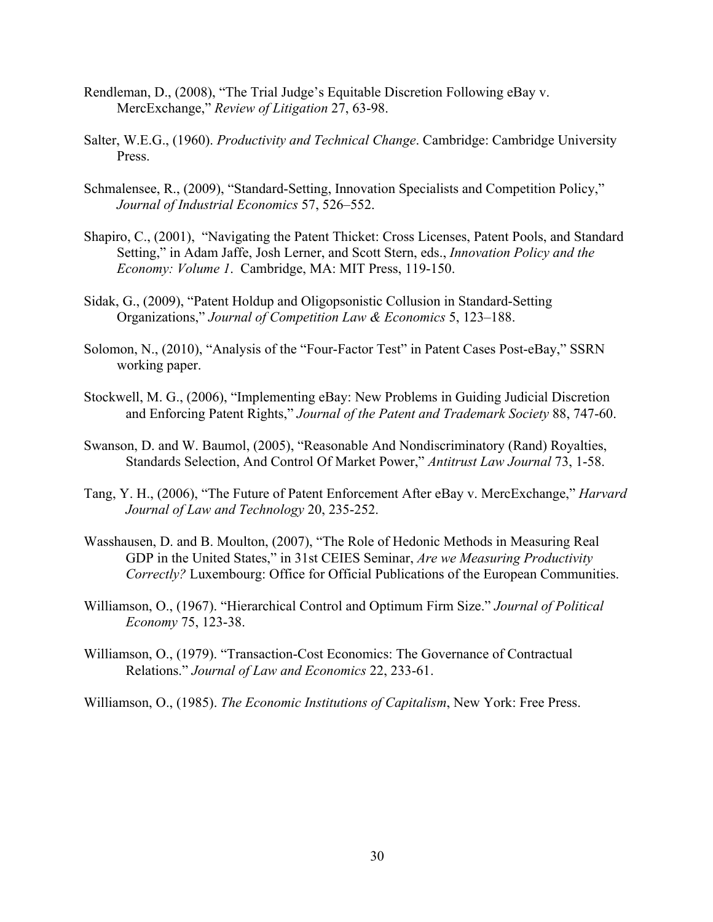- Rendleman, D., (2008), "The Trial Judge's Equitable Discretion Following eBay v. MercExchange," *Review of Litigation* 27, 63-98.
- Salter, W.E.G., (1960). *Productivity and Technical Change*. Cambridge: Cambridge University Press.
- Schmalensee, R., (2009), "Standard-Setting, Innovation Specialists and Competition Policy," *Journal of Industrial Economics* 57, 526–552.
- Shapiro, C., (2001), "Navigating the Patent Thicket: Cross Licenses, Patent Pools, and Standard Setting," in Adam Jaffe, Josh Lerner, and Scott Stern, eds., *Innovation Policy and the Economy: Volume 1*. Cambridge, MA: MIT Press, 119-150.
- Sidak, G., (2009), "Patent Holdup and Oligopsonistic Collusion in Standard-Setting Organizations," *Journal of Competition Law & Economics* 5, 123–188.
- Solomon, N., (2010), "Analysis of the "Four-Factor Test" in Patent Cases Post-eBay," SSRN working paper.
- Stockwell, M. G., (2006), "Implementing eBay: New Problems in Guiding Judicial Discretion and Enforcing Patent Rights," *Journal of the Patent and Trademark Society* 88, 747-60.
- Swanson, D. and W. Baumol, (2005), "Reasonable And Nondiscriminatory (Rand) Royalties, Standards Selection, And Control Of Market Power," *Antitrust Law Journal* 73, 1-58.
- Tang, Y. H., (2006), "The Future of Patent Enforcement After eBay v. MercExchange," *Harvard Journal of Law and Technology* 20, 235-252.
- Wasshausen, D. and B. Moulton, (2007), "The Role of Hedonic Methods in Measuring Real GDP in the United States," in 31st CEIES Seminar, *Are we Measuring Productivity Correctly?* Luxembourg: Office for Official Publications of the European Communities.
- Williamson, O., (1967). "Hierarchical Control and Optimum Firm Size." *Journal of Political Economy* 75, 123-38.
- Williamson, O., (1979). "Transaction-Cost Economics: The Governance of Contractual Relations." *Journal of Law and Economics* 22, 233-61.
- Williamson, O., (1985). *The Economic Institutions of Capitalism*, New York: Free Press.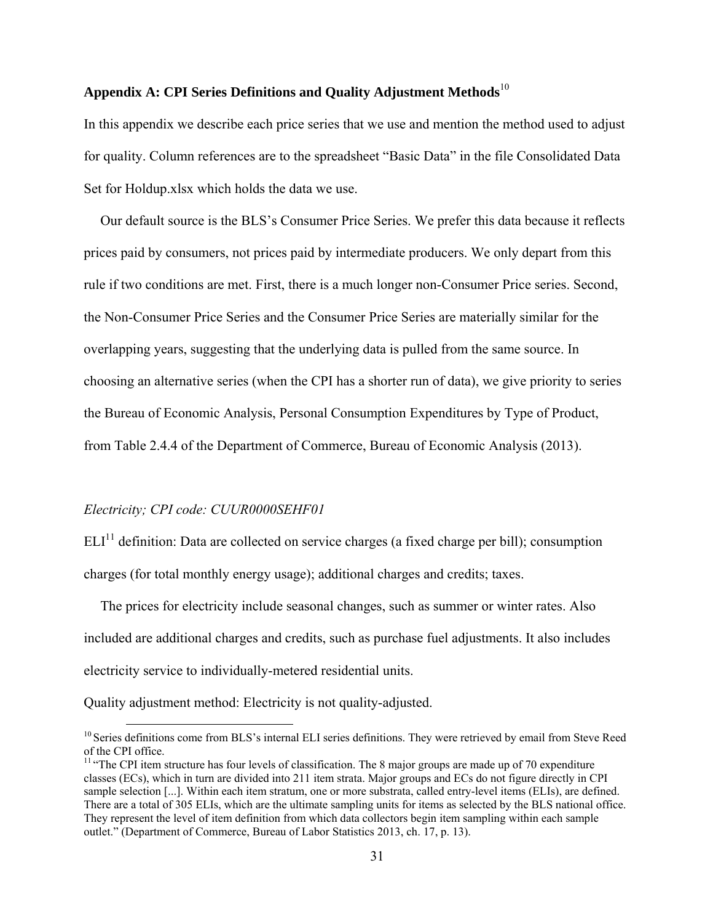# **Appendix A: CPI Series Definitions and Quality Adjustment Methods**<sup>10</sup>

In this appendix we describe each price series that we use and mention the method used to adjust for quality. Column references are to the spreadsheet "Basic Data" in the file Consolidated Data Set for Holdup.xlsx which holds the data we use.

Our default source is the BLS's Consumer Price Series. We prefer this data because it reflects prices paid by consumers, not prices paid by intermediate producers. We only depart from this rule if two conditions are met. First, there is a much longer non-Consumer Price series. Second, the Non-Consumer Price Series and the Consumer Price Series are materially similar for the overlapping years, suggesting that the underlying data is pulled from the same source. In choosing an alternative series (when the CPI has a shorter run of data), we give priority to series the Bureau of Economic Analysis, Personal Consumption Expenditures by Type of Product, from Table 2.4.4 of the Department of Commerce, Bureau of Economic Analysis (2013).

#### *Electricity; CPI code: CUUR0000SEHF01*

 $ELI<sup>11</sup>$  definition: Data are collected on service charges (a fixed charge per bill); consumption charges (for total monthly energy usage); additional charges and credits; taxes.

The prices for electricity include seasonal changes, such as summer or winter rates. Also included are additional charges and credits, such as purchase fuel adjustments. It also includes electricity service to individually-metered residential units.

Quality adjustment method: Electricity is not quality-adjusted.

<sup>&</sup>lt;sup>10</sup> Series definitions come from BLS's internal ELI series definitions. They were retrieved by email from Steve Reed of the CPI office.

 $<sup>11</sup>$  "The CPI item structure has four levels of classification. The 8 major groups are made up of 70 expenditure</sup> classes (ECs), which in turn are divided into 211 item strata. Major groups and ECs do not figure directly in CPI sample selection [...]. Within each item stratum, one or more substrata, called entry-level items (ELIs), are defined. There are a total of 305 ELIs, which are the ultimate sampling units for items as selected by the BLS national office. They represent the level of item definition from which data collectors begin item sampling within each sample outlet." (Department of Commerce, Bureau of Labor Statistics 2013, ch. 17, p. 13).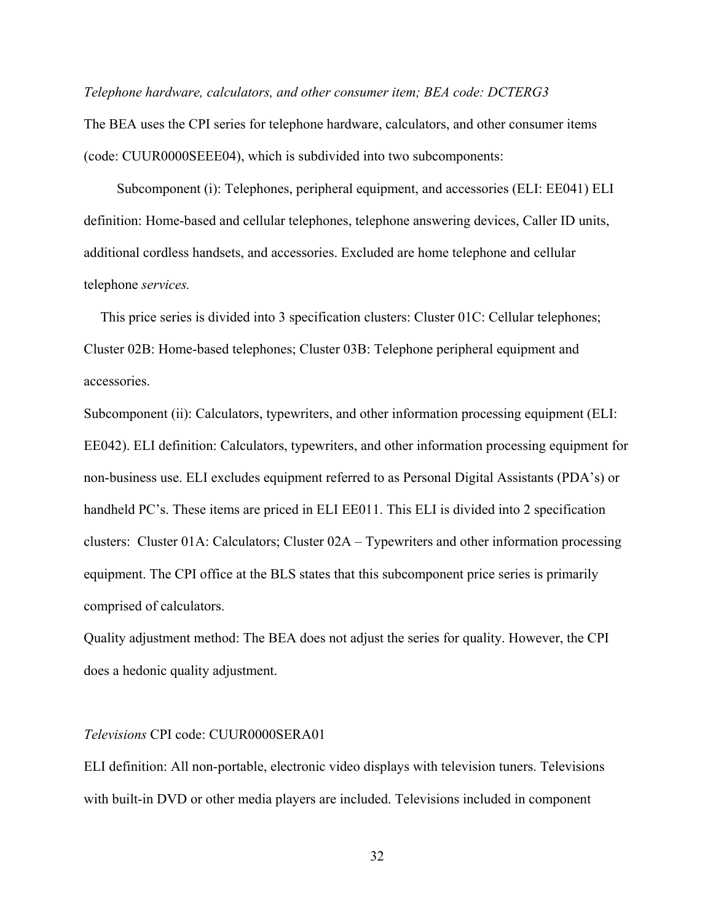*Telephone hardware, calculators, and other consumer item; BEA code: DCTERG3*

The BEA uses the CPI series for telephone hardware, calculators, and other consumer items (code: CUUR0000SEEE04), which is subdivided into two subcomponents:

Subcomponent (i): Telephones, peripheral equipment, and accessories (ELI: EE041) ELI definition: Home-based and cellular telephones, telephone answering devices, Caller ID units, additional cordless handsets, and accessories. Excluded are home telephone and cellular telephone *services.* 

This price series is divided into 3 specification clusters: Cluster 01C: Cellular telephones; Cluster 02B: Home-based telephones; Cluster 03B: Telephone peripheral equipment and accessories.

Subcomponent (ii): Calculators, typewriters, and other information processing equipment (ELI: EE042). ELI definition: Calculators, typewriters, and other information processing equipment for non-business use. ELI excludes equipment referred to as Personal Digital Assistants (PDA's) or handheld PC's. These items are priced in ELI EE011. This ELI is divided into 2 specification clusters: Cluster 01A: Calculators; Cluster 02A – Typewriters and other information processing equipment. The CPI office at the BLS states that this subcomponent price series is primarily comprised of calculators.

Quality adjustment method: The BEA does not adjust the series for quality. However, the CPI does a hedonic quality adjustment.

# *Televisions* CPI code: CUUR0000SERA01

ELI definition: All non-portable, electronic video displays with television tuners. Televisions with built-in DVD or other media players are included. Televisions included in component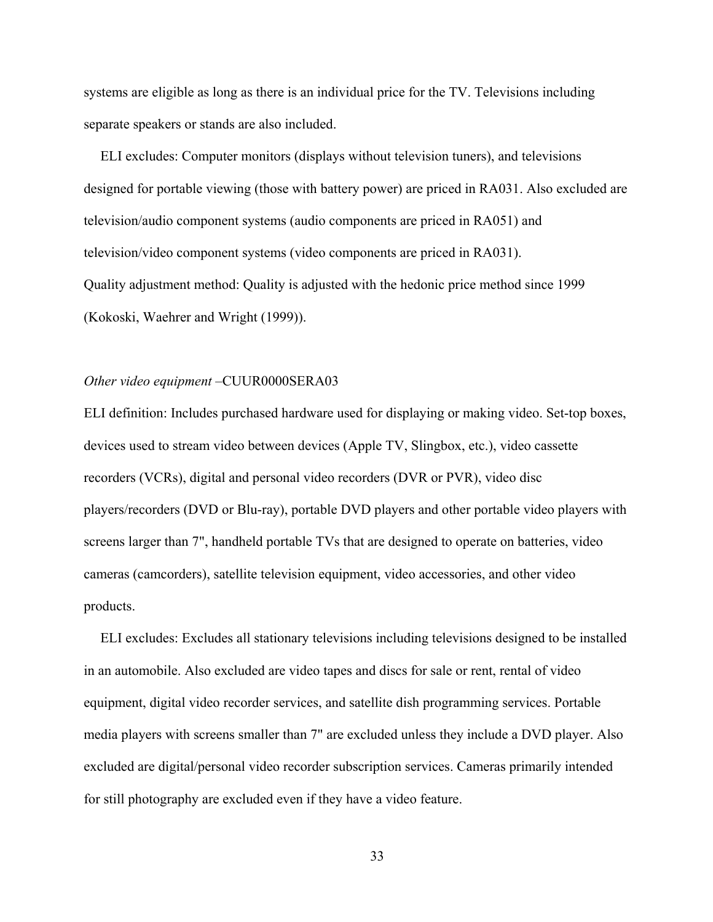systems are eligible as long as there is an individual price for the TV. Televisions including separate speakers or stands are also included.

ELI excludes: Computer monitors (displays without television tuners), and televisions designed for portable viewing (those with battery power) are priced in RA031. Also excluded are television/audio component systems (audio components are priced in RA051) and television/video component systems (video components are priced in RA031). Quality adjustment method: Quality is adjusted with the hedonic price method since 1999 (Kokoski, Waehrer and Wright (1999)).

# *Other video equipment* –CUUR0000SERA03

ELI definition: Includes purchased hardware used for displaying or making video. Set-top boxes, devices used to stream video between devices (Apple TV, Slingbox, etc.), video cassette recorders (VCRs), digital and personal video recorders (DVR or PVR), video disc players/recorders (DVD or Blu-ray), portable DVD players and other portable video players with screens larger than 7", handheld portable TVs that are designed to operate on batteries, video cameras (camcorders), satellite television equipment, video accessories, and other video products.

ELI excludes: Excludes all stationary televisions including televisions designed to be installed in an automobile. Also excluded are video tapes and discs for sale or rent, rental of video equipment, digital video recorder services, and satellite dish programming services. Portable media players with screens smaller than 7" are excluded unless they include a DVD player. Also excluded are digital/personal video recorder subscription services. Cameras primarily intended for still photography are excluded even if they have a video feature.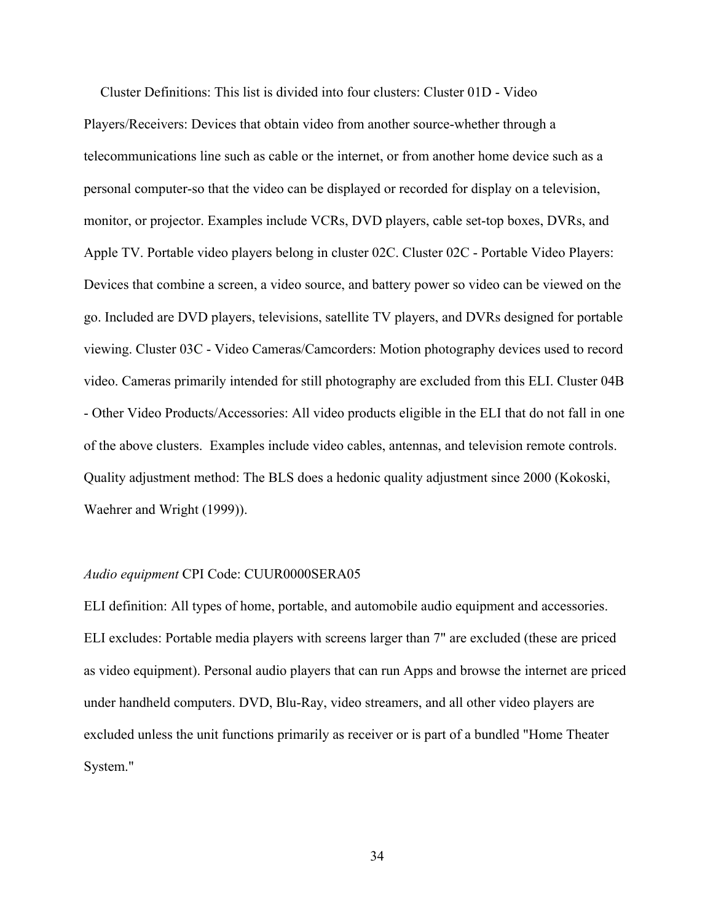Cluster Definitions: This list is divided into four clusters: Cluster 01D - Video Players/Receivers: Devices that obtain video from another source-whether through a telecommunications line such as cable or the internet, or from another home device such as a personal computer-so that the video can be displayed or recorded for display on a television, monitor, or projector. Examples include VCRs, DVD players, cable set-top boxes, DVRs, and Apple TV. Portable video players belong in cluster 02C. Cluster 02C - Portable Video Players: Devices that combine a screen, a video source, and battery power so video can be viewed on the go. Included are DVD players, televisions, satellite TV players, and DVRs designed for portable viewing. Cluster 03C - Video Cameras/Camcorders: Motion photography devices used to record video. Cameras primarily intended for still photography are excluded from this ELI. Cluster 04B - Other Video Products/Accessories: All video products eligible in the ELI that do not fall in one of the above clusters. Examples include video cables, antennas, and television remote controls. Quality adjustment method: The BLS does a hedonic quality adjustment since 2000 (Kokoski, Waehrer and Wright (1999)).

#### *Audio equipment* CPI Code: CUUR0000SERA05

ELI definition: All types of home, portable, and automobile audio equipment and accessories. ELI excludes: Portable media players with screens larger than 7" are excluded (these are priced as video equipment). Personal audio players that can run Apps and browse the internet are priced under handheld computers. DVD, Blu-Ray, video streamers, and all other video players are excluded unless the unit functions primarily as receiver or is part of a bundled "Home Theater System."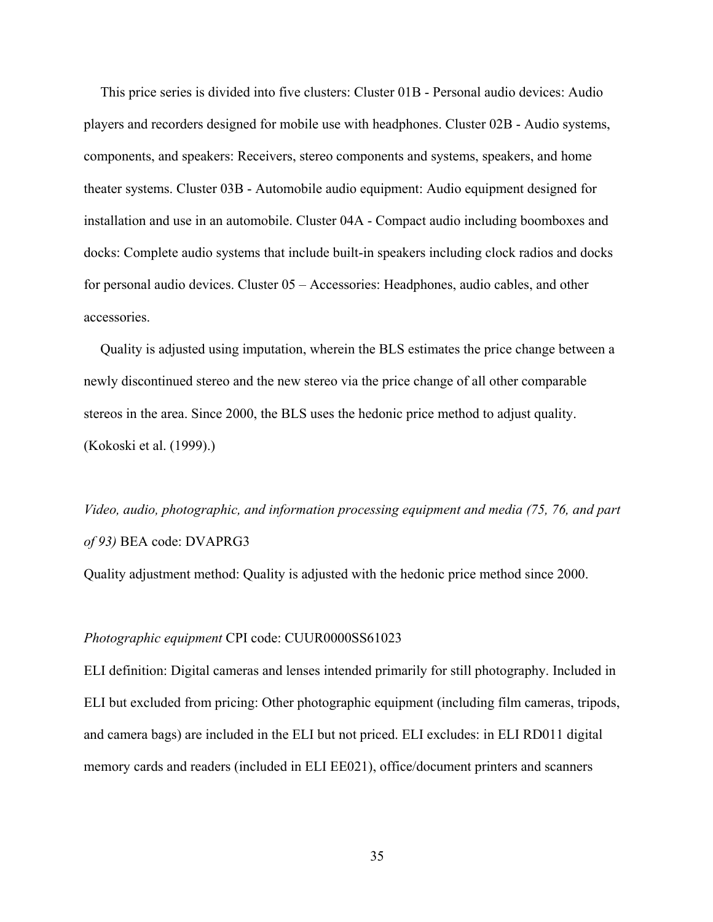This price series is divided into five clusters: Cluster 01B - Personal audio devices: Audio players and recorders designed for mobile use with headphones. Cluster 02B - Audio systems, components, and speakers: Receivers, stereo components and systems, speakers, and home theater systems. Cluster 03B - Automobile audio equipment: Audio equipment designed for installation and use in an automobile. Cluster 04A - Compact audio including boomboxes and docks: Complete audio systems that include built-in speakers including clock radios and docks for personal audio devices. Cluster 05 – Accessories: Headphones, audio cables, and other accessories.

Quality is adjusted using imputation, wherein the BLS estimates the price change between a newly discontinued stereo and the new stereo via the price change of all other comparable stereos in the area. Since 2000, the BLS uses the hedonic price method to adjust quality. (Kokoski et al. (1999).)

*Video, audio, photographic, and information processing equipment and media (75, 76, and part of 93)* BEA code: DVAPRG3

Quality adjustment method: Quality is adjusted with the hedonic price method since 2000.

#### *Photographic equipment* CPI code: CUUR0000SS61023

ELI definition: Digital cameras and lenses intended primarily for still photography. Included in ELI but excluded from pricing: Other photographic equipment (including film cameras, tripods, and camera bags) are included in the ELI but not priced. ELI excludes: in ELI RD011 digital memory cards and readers (included in ELI EE021), office/document printers and scanners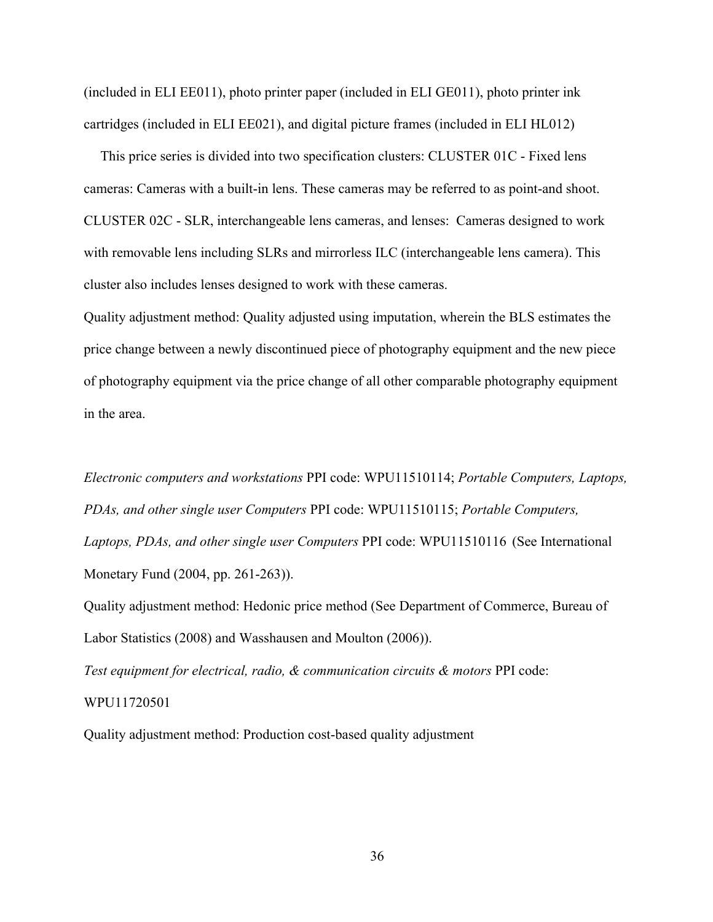(included in ELI EE011), photo printer paper (included in ELI GE011), photo printer ink cartridges (included in ELI EE021), and digital picture frames (included in ELI HL012)

This price series is divided into two specification clusters: CLUSTER 01C - Fixed lens cameras: Cameras with a built-in lens. These cameras may be referred to as point-and shoot. CLUSTER 02C - SLR, interchangeable lens cameras, and lenses: Cameras designed to work with removable lens including SLRs and mirrorless ILC (interchangeable lens camera). This cluster also includes lenses designed to work with these cameras.

Quality adjustment method: Quality adjusted using imputation, wherein the BLS estimates the price change between a newly discontinued piece of photography equipment and the new piece of photography equipment via the price change of all other comparable photography equipment in the area.

*Electronic computers and workstations* PPI code: WPU11510114; *Portable Computers, Laptops, PDAs, and other single user Computers* PPI code: WPU11510115; *Portable Computers, Laptops, PDAs, and other single user Computers* PPI code: WPU11510116 (See International Monetary Fund (2004, pp. 261-263)).

Quality adjustment method: Hedonic price method (See Department of Commerce, Bureau of Labor Statistics (2008) and Wasshausen and Moulton (2006)).

*Test equipment for electrical, radio, & communication circuits & motors* PPI code: WPU11720501

Quality adjustment method: Production cost-based quality adjustment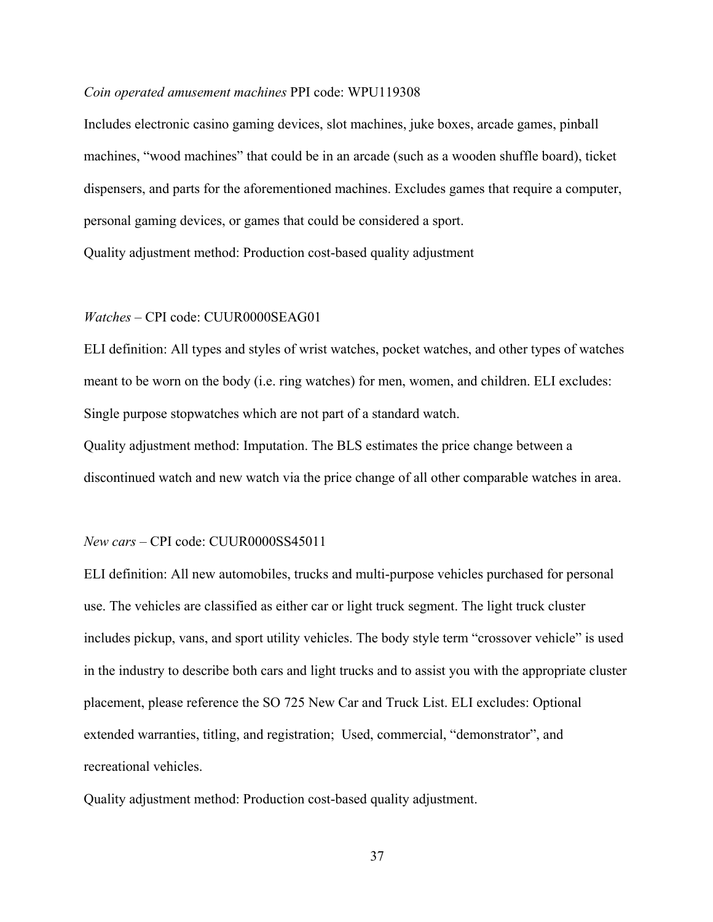#### *Coin operated amusement machines* PPI code: WPU119308

Includes electronic casino gaming devices, slot machines, juke boxes, arcade games, pinball machines, "wood machines" that could be in an arcade (such as a wooden shuffle board), ticket dispensers, and parts for the aforementioned machines. Excludes games that require a computer, personal gaming devices, or games that could be considered a sport. Quality adjustment method: Production cost-based quality adjustment

#### *Watches* – CPI code: CUUR0000SEAG01

ELI definition: All types and styles of wrist watches, pocket watches, and other types of watches meant to be worn on the body (i.e. ring watches) for men, women, and children. ELI excludes: Single purpose stopwatches which are not part of a standard watch.

Quality adjustment method: Imputation. The BLS estimates the price change between a discontinued watch and new watch via the price change of all other comparable watches in area.

#### *New cars* – CPI code: CUUR0000SS45011

ELI definition: All new automobiles, trucks and multi-purpose vehicles purchased for personal use. The vehicles are classified as either car or light truck segment. The light truck cluster includes pickup, vans, and sport utility vehicles. The body style term "crossover vehicle" is used in the industry to describe both cars and light trucks and to assist you with the appropriate cluster placement, please reference the SO 725 New Car and Truck List. ELI excludes: Optional extended warranties, titling, and registration; Used, commercial, "demonstrator", and recreational vehicles.

Quality adjustment method: Production cost-based quality adjustment.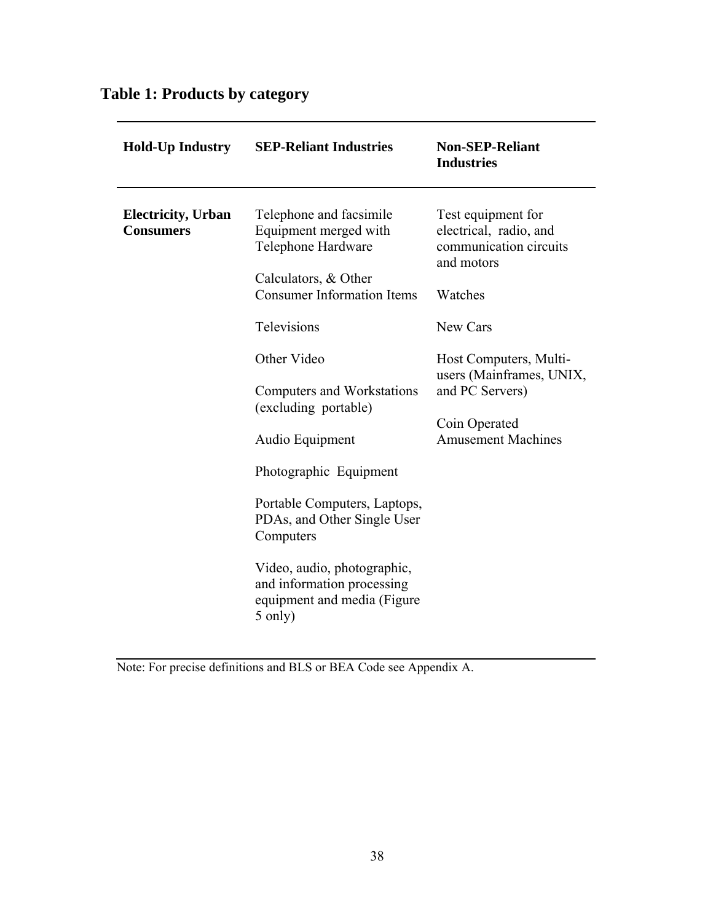# **Table 1: Products by category**

| <b>Hold-Up Industry</b>                        | <b>SEP-Reliant Industries</b>                                                                       | <b>Non-SEP-Reliant</b><br><b>Industries</b>                                          |
|------------------------------------------------|-----------------------------------------------------------------------------------------------------|--------------------------------------------------------------------------------------|
| <b>Electricity</b> , Urban<br><b>Consumers</b> | Telephone and facsimile<br>Equipment merged with<br>Telephone Hardware<br>Calculators, & Other      | Test equipment for<br>electrical, radio, and<br>communication circuits<br>and motors |
|                                                | <b>Consumer Information Items</b>                                                                   | Watches                                                                              |
|                                                | <b>Televisions</b>                                                                                  | New Cars                                                                             |
|                                                | Other Video                                                                                         | Host Computers, Multi-<br>users (Mainframes, UNIX,                                   |
|                                                | Computers and Workstations<br>(excluding portable)                                                  | and PC Servers)                                                                      |
|                                                | Audio Equipment                                                                                     | Coin Operated<br><b>Amusement Machines</b>                                           |
|                                                | Photographic Equipment                                                                              |                                                                                      |
|                                                | Portable Computers, Laptops,<br>PDAs, and Other Single User<br>Computers                            |                                                                                      |
|                                                | Video, audio, photographic,<br>and information processing<br>equipment and media (Figure<br>5 only) |                                                                                      |

Note: For precise definitions and BLS or BEA Code see Appendix A.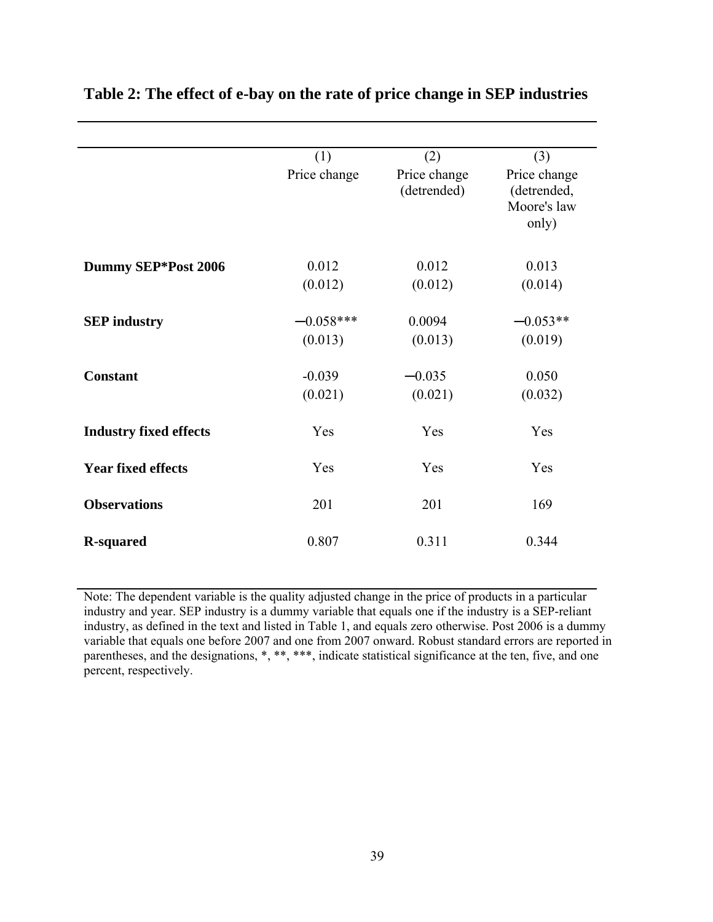|                               | (1)          | (2)                         | (3)                                                 |
|-------------------------------|--------------|-----------------------------|-----------------------------------------------------|
|                               | Price change | Price change<br>(detrended) | Price change<br>(detrended,<br>Moore's law<br>only) |
| Dummy SEP*Post 2006           | 0.012        | 0.012                       | 0.013                                               |
|                               | (0.012)      | (0.012)                     | (0.014)                                             |
| <b>SEP</b> industry           | $-0.058***$  | 0.0094                      | $-0.053**$                                          |
|                               | (0.013)      | (0.013)                     | (0.019)                                             |
| <b>Constant</b>               | $-0.039$     | $-0.035$                    | 0.050                                               |
|                               | (0.021)      | (0.021)                     | (0.032)                                             |
| <b>Industry fixed effects</b> | Yes          | Yes                         | Yes                                                 |
| <b>Year fixed effects</b>     | Yes          | Yes                         | Yes                                                 |
| <b>Observations</b>           | 201          | 201                         | 169                                                 |
| <b>R-squared</b>              | 0.807        | 0.311                       | 0.344                                               |

# **Table 2: The effect of e-bay on the rate of price change in SEP industries**

Note: The dependent variable is the quality adjusted change in the price of products in a particular industry and year. SEP industry is a dummy variable that equals one if the industry is a SEP-reliant industry, as defined in the text and listed in Table 1, and equals zero otherwise. Post 2006 is a dummy variable that equals one before 2007 and one from 2007 onward. Robust standard errors are reported in parentheses, and the designations, \*, \*\*, \*\*\*, indicate statistical significance at the ten, five, and one percent, respectively.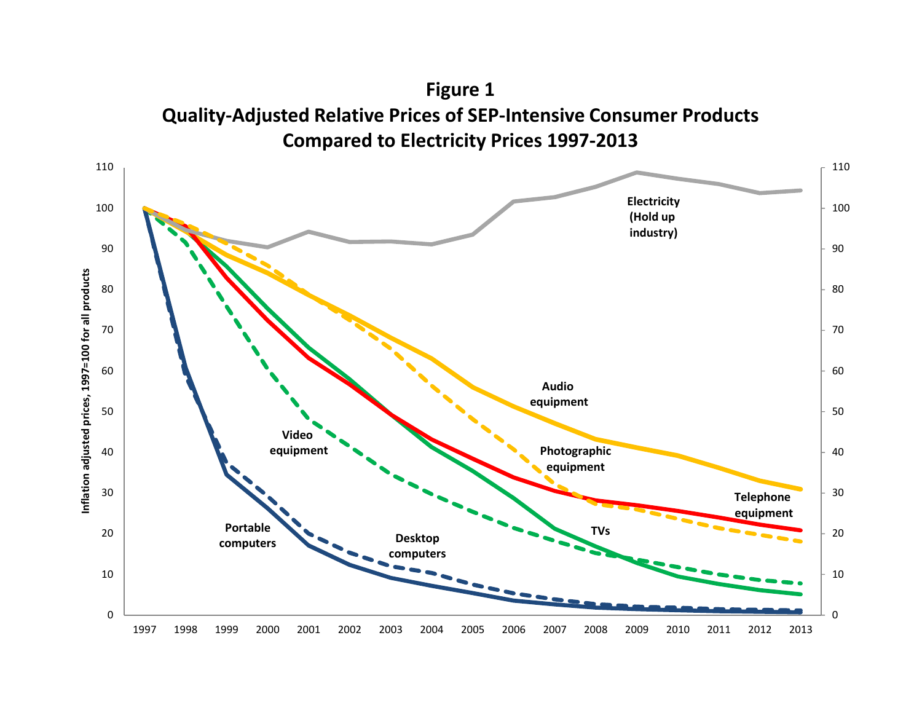

**Figure 1**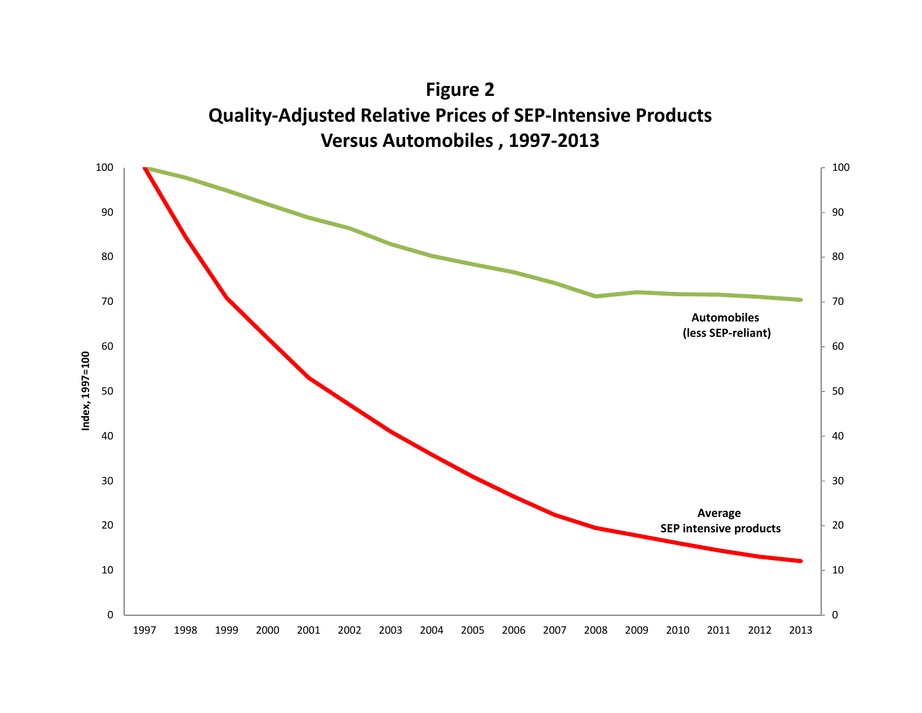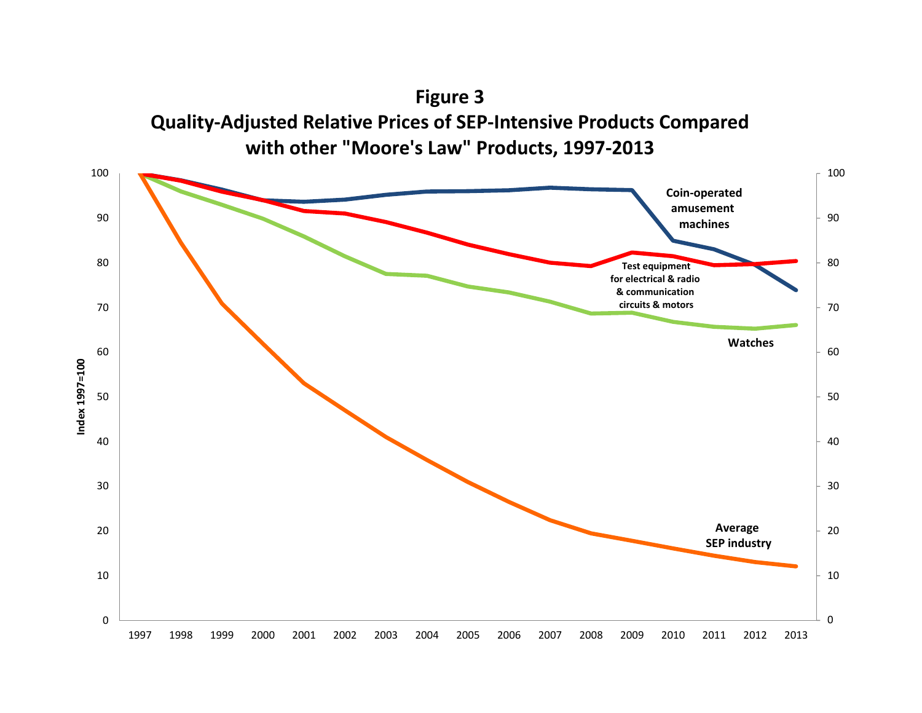**Figure 3 Quality‐Adjusted Relative Prices of SEP‐Intensive Products Compared with other "Moore's Law" Products, 1997‐2013**

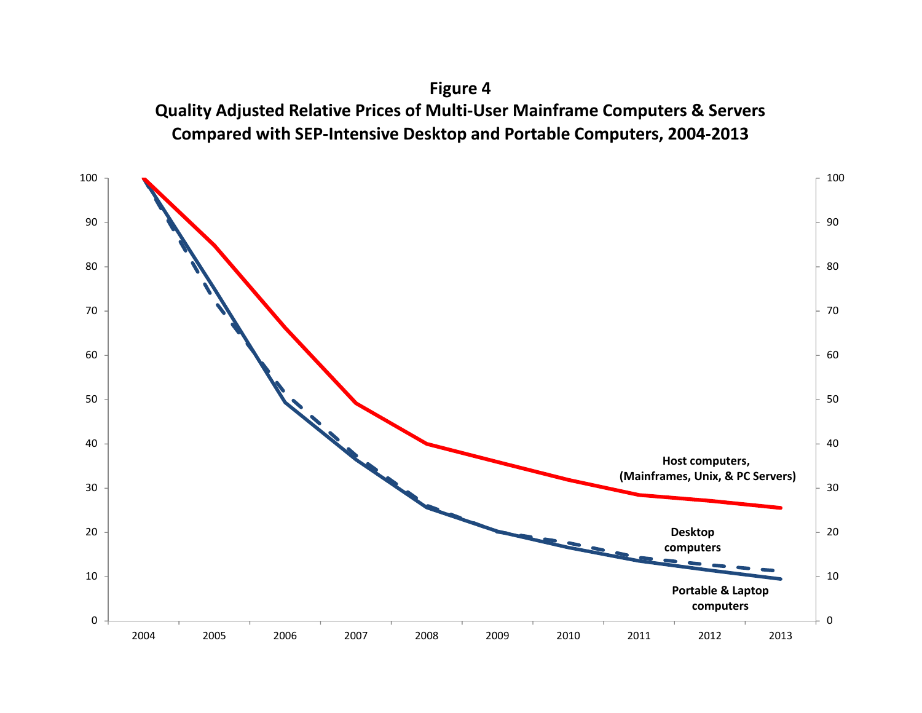**Figure 4 Quality Adjusted Relative Prices of Multi‐User Mainframe Computers & Servers Compared with SEP‐Intensive Desktop and Portable Computers, 2004‐2013**